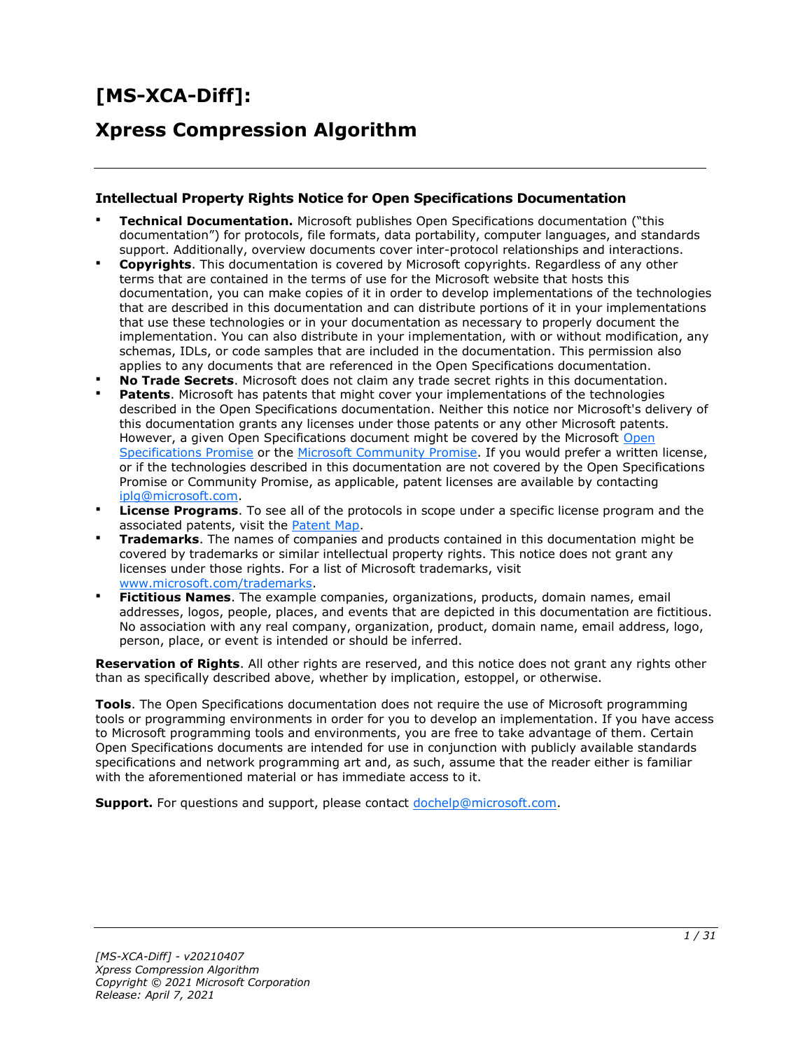# **[MS-XCA-Diff]:**

# **Xpress Compression Algorithm**

#### **Intellectual Property Rights Notice for Open Specifications Documentation**

- **Technical Documentation.** Microsoft publishes Open Specifications documentation ("this documentation") for protocols, file formats, data portability, computer languages, and standards support. Additionally, overview documents cover inter-protocol relationships and interactions.
- **Copyrights**. This documentation is covered by Microsoft copyrights. Regardless of any other terms that are contained in the terms of use for the Microsoft website that hosts this documentation, you can make copies of it in order to develop implementations of the technologies that are described in this documentation and can distribute portions of it in your implementations that use these technologies or in your documentation as necessary to properly document the implementation. You can also distribute in your implementation, with or without modification, any schemas, IDLs, or code samples that are included in the documentation. This permission also applies to any documents that are referenced in the Open Specifications documentation.
- **No Trade Secrets**. Microsoft does not claim any trade secret rights in this documentation.
- **Patents**. Microsoft has patents that might cover your implementations of the technologies described in the Open Specifications documentation. Neither this notice nor Microsoft's delivery of this documentation grants any licenses under those patents or any other Microsoft patents. However, a given [Open](https://go.microsoft.com/fwlink/?LinkId=214445) Specifications document might be covered by the Microsoft Open [Specifications Promise](https://go.microsoft.com/fwlink/?LinkId=214445) or the [Microsoft Community Promise.](https://go.microsoft.com/fwlink/?LinkId=214448) If you would prefer a written license, or if the technologies described in this documentation are not covered by the Open Specifications Promise or Community Promise, as applicable, patent licenses are available by contacting [iplg@microsoft.com.](mailto:iplg@microsoft.com)
- **License Programs**. To see all of the protocols in scope under a specific license program and the associated patents, visit the [Patent Map.](https://aka.ms/AA9ufj8)
- **Trademarks**. The names of companies and products contained in this documentation might be covered by trademarks or similar intellectual property rights. This notice does not grant any licenses under those rights. For a list of Microsoft trademarks, visit [www.microsoft.com/trademarks.](https://www.microsoft.com/trademarks)
- **Fictitious Names**. The example companies, organizations, products, domain names, email addresses, logos, people, places, and events that are depicted in this documentation are fictitious. No association with any real company, organization, product, domain name, email address, logo, person, place, or event is intended or should be inferred.

**Reservation of Rights**. All other rights are reserved, and this notice does not grant any rights other than as specifically described above, whether by implication, estoppel, or otherwise.

**Tools**. The Open Specifications documentation does not require the use of Microsoft programming tools or programming environments in order for you to develop an implementation. If you have access to Microsoft programming tools and environments, you are free to take advantage of them. Certain Open Specifications documents are intended for use in conjunction with publicly available standards specifications and network programming art and, as such, assume that the reader either is familiar with the aforementioned material or has immediate access to it.

**Support.** For questions and support, please contact [dochelp@microsoft.com.](mailto:dochelp@microsoft.com)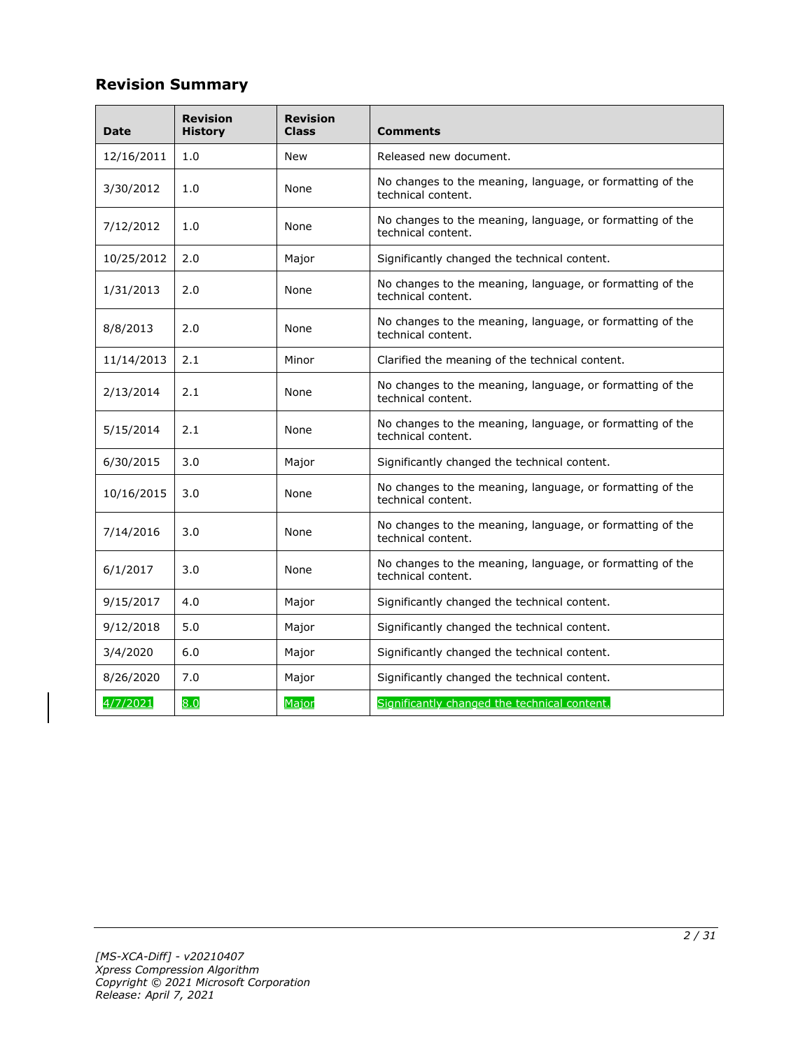# **Revision Summary**

| Date       | <b>Revision</b><br><b>History</b> | <b>Revision</b><br><b>Class</b> | <b>Comments</b>                                                                 |
|------------|-----------------------------------|---------------------------------|---------------------------------------------------------------------------------|
| 12/16/2011 | 1.0                               | New                             | Released new document.                                                          |
| 3/30/2012  | 1.0                               | None                            | No changes to the meaning, language, or formatting of the<br>technical content. |
| 7/12/2012  | 1.0                               | None                            | No changes to the meaning, language, or formatting of the<br>technical content. |
| 10/25/2012 | 2.0                               | Major                           | Significantly changed the technical content.                                    |
| 1/31/2013  | 2.0                               | None                            | No changes to the meaning, language, or formatting of the<br>technical content. |
| 8/8/2013   | 2.0                               | None                            | No changes to the meaning, language, or formatting of the<br>technical content. |
| 11/14/2013 | 2.1                               | Minor                           | Clarified the meaning of the technical content.                                 |
| 2/13/2014  | 2.1                               | None                            | No changes to the meaning, language, or formatting of the<br>technical content. |
| 5/15/2014  | 2.1                               | None                            | No changes to the meaning, language, or formatting of the<br>technical content. |
| 6/30/2015  | 3.0                               | Major                           | Significantly changed the technical content.                                    |
| 10/16/2015 | 3.0                               | None                            | No changes to the meaning, language, or formatting of the<br>technical content. |
| 7/14/2016  | 3.0                               | None                            | No changes to the meaning, language, or formatting of the<br>technical content. |
| 6/1/2017   | 3.0                               | None                            | No changes to the meaning, language, or formatting of the<br>technical content. |
| 9/15/2017  | 4.0                               | Major                           | Significantly changed the technical content.                                    |
| 9/12/2018  | 5.0                               | Major                           | Significantly changed the technical content.                                    |
| 3/4/2020   | 6.0                               | Major                           | Significantly changed the technical content.                                    |
| 8/26/2020  | 7.0                               | Major                           | Significantly changed the technical content.                                    |
| 4/7/2021   | 8.0                               | Major                           | Significantly changed the technical content.                                    |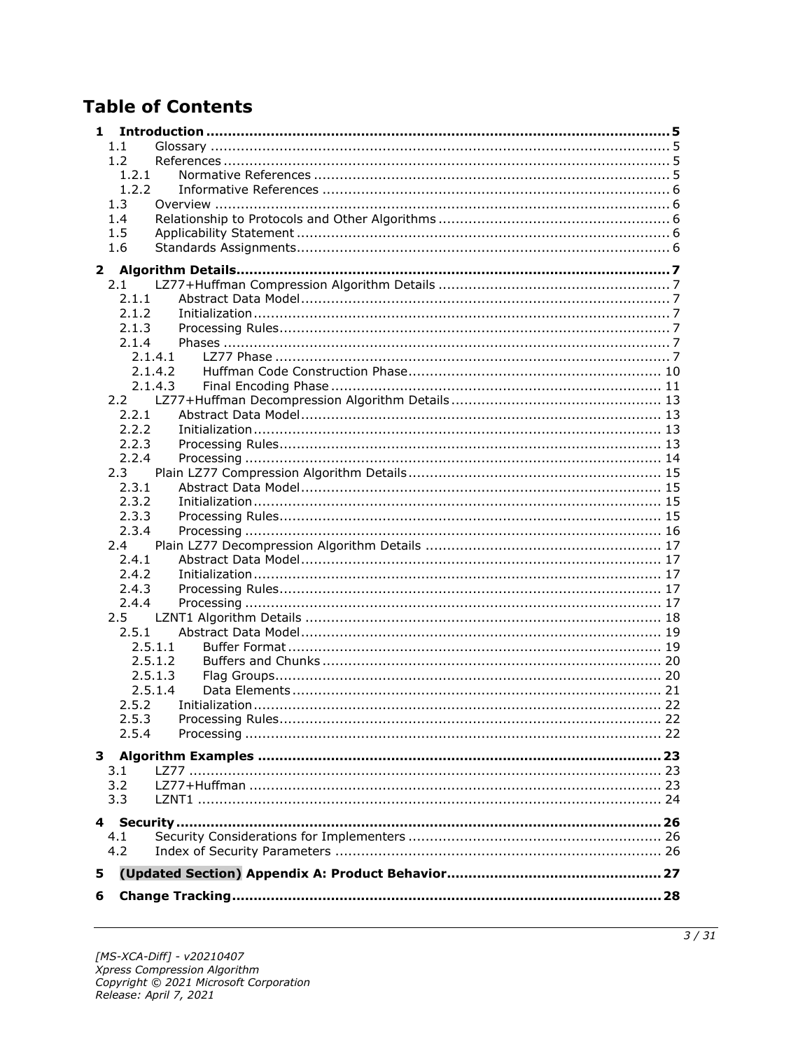# **Table of Contents**

| 1            |               |                    |  |
|--------------|---------------|--------------------|--|
|              | 1.1           |                    |  |
|              | 1.2           |                    |  |
|              | 1.2.1         |                    |  |
|              | 1.2.2         |                    |  |
|              | 1.3           |                    |  |
|              | 1.4           |                    |  |
|              | 1.5           |                    |  |
|              | 1.6           |                    |  |
| $\mathbf{2}$ |               |                    |  |
|              | 2.1           |                    |  |
|              | 2.1.1         |                    |  |
|              | 2.1.2         |                    |  |
|              | 2.1.3         |                    |  |
|              | 2.1.4         |                    |  |
|              |               | 2.1.4.1            |  |
|              |               | 2.1.4.2<br>2.1.4.3 |  |
|              | 2.2           |                    |  |
|              | 2.2.1         |                    |  |
|              | 2.2.2         |                    |  |
|              | 2.2.3         |                    |  |
|              | 2.2.4         |                    |  |
|              | 2.3           |                    |  |
|              | 2.3.1         |                    |  |
|              | 2.3.2         |                    |  |
|              | 2.3.3         |                    |  |
|              | 2.3.4         |                    |  |
|              | $2.4^{\circ}$ |                    |  |
|              | 2.4.1         |                    |  |
|              | 2.4.2         |                    |  |
|              | 2.4.3         |                    |  |
|              | 2.4.4         |                    |  |
|              | 2.5<br>2.5.1  |                    |  |
|              |               | 2.5.1.1            |  |
|              |               | 2.5.1.2            |  |
|              |               | 2.5.1.3            |  |
|              |               | 2.5.1.4            |  |
|              | 2.5.2         |                    |  |
|              | 2.5.3         |                    |  |
|              | 2.5.4         |                    |  |
| 3            |               |                    |  |
|              | 3.1           |                    |  |
|              | 3.2           |                    |  |
|              | 3.3           |                    |  |
|              |               |                    |  |
|              |               |                    |  |
|              | 4.1           |                    |  |
|              | 4.2           |                    |  |
| 5            |               |                    |  |
| 6            |               |                    |  |
|              |               |                    |  |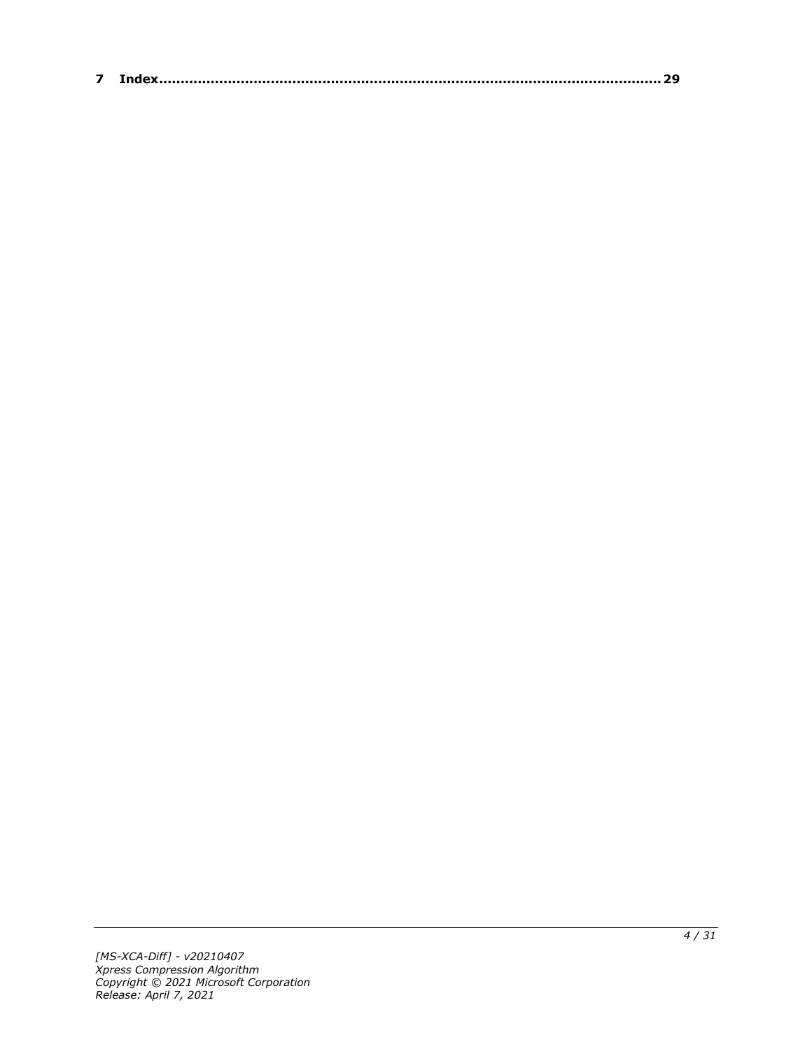| $\sim$ |  |
|--------|--|
|--------|--|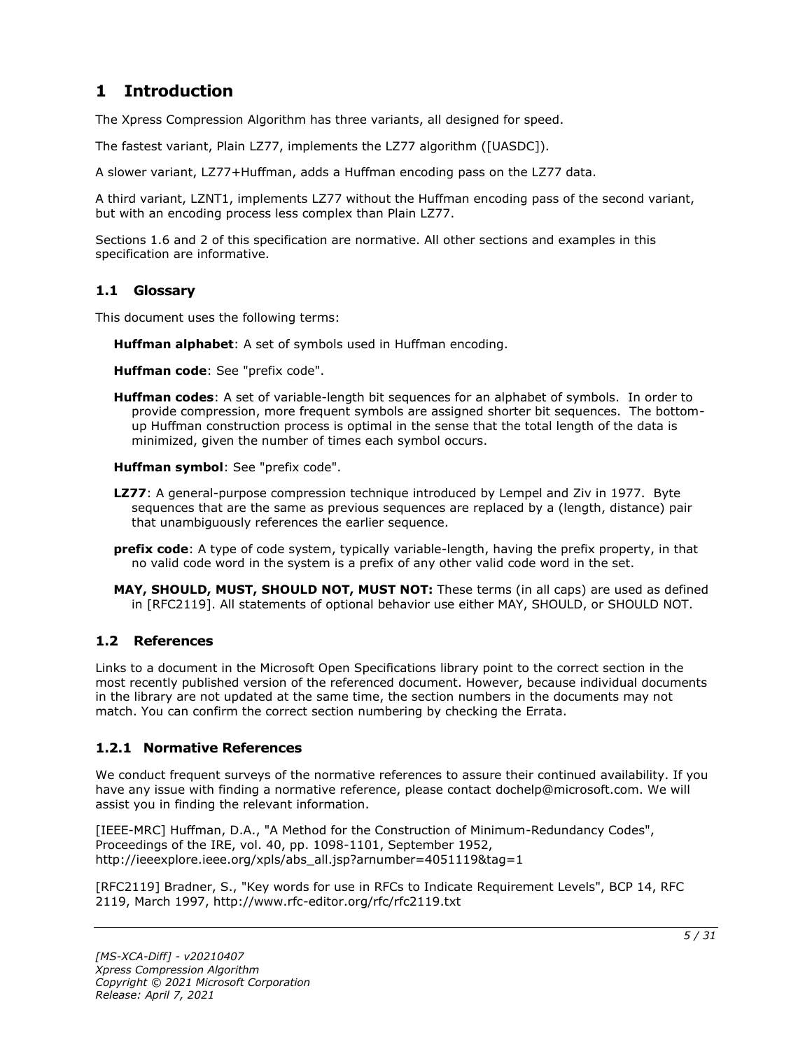# <span id="page-4-0"></span>**1 Introduction**

The Xpress Compression Algorithm has three variants, all designed for speed.

The fastest variant, Plain LZ77, implements the LZ77 algorithm ([UASDC]).

A slower variant, LZ77+Huffman, adds a Huffman encoding pass on the LZ77 data.

A third variant, LZNT1, implements LZ77 without the Huffman encoding pass of the second variant, but with an encoding process less complex than Plain LZ77.

Sections 1.6 and 2 of this specification are normative. All other sections and examples in this specification are informative.

#### <span id="page-4-1"></span>**1.1 Glossary**

This document uses the following terms:

**Huffman alphabet**: A set of symbols used in Huffman encoding.

**Huffman code**: See "prefix code".

**Huffman codes**: A set of variable-length bit sequences for an alphabet of symbols. In order to provide compression, more frequent symbols are assigned shorter bit sequences. The bottomup Huffman construction process is optimal in the sense that the total length of the data is minimized, given the number of times each symbol occurs.

**Huffman symbol**: See "prefix code".

- **LZ77**: A general-purpose compression technique introduced by Lempel and Ziv in 1977. Byte sequences that are the same as previous sequences are replaced by a (length, distance) pair that unambiguously references the earlier sequence.
- **prefix code**: A type of code system, typically variable-length, having the prefix property, in that no valid code word in the system is a prefix of any other valid code word in the set.
- **MAY, SHOULD, MUST, SHOULD NOT, MUST NOT:** These terms (in all caps) are used as defined in [RFC2119]. All statements of optional behavior use either MAY, SHOULD, or SHOULD NOT.

#### <span id="page-4-2"></span>**1.2 References**

Links to a document in the Microsoft Open Specifications library point to the correct section in the most recently published version of the referenced document. However, because individual documents in the library are not updated at the same time, the section numbers in the documents may not match. You can confirm the correct section numbering by checking the Errata.

#### <span id="page-4-3"></span>**1.2.1 Normative References**

We conduct frequent surveys of the normative references to assure their continued availability. If you have any issue with finding a normative reference, please contact dochelp@microsoft.com. We will assist you in finding the relevant information.

[IEEE-MRC] Huffman, D.A., "A Method for the Construction of Minimum-Redundancy Codes", Proceedings of the IRE, vol. 40, pp. 1098-1101, September 1952, http://ieeexplore.ieee.org/xpls/abs\_all.jsp?arnumber=4051119&tag=1

[RFC2119] Bradner, S., "Key words for use in RFCs to Indicate Requirement Levels", BCP 14, RFC 2119, March 1997, http://www.rfc-editor.org/rfc/rfc2119.txt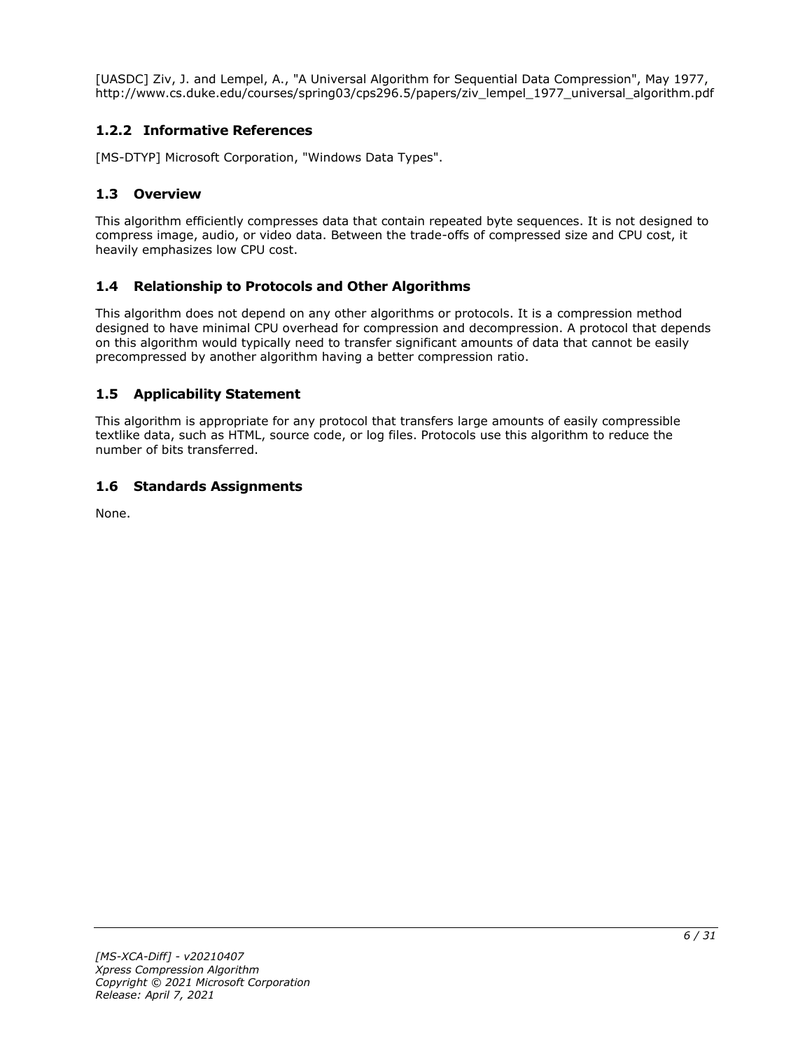[UASDC] Ziv, J. and Lempel, A., "A Universal Algorithm for Sequential Data Compression", May 1977, http://www.cs.duke.edu/courses/spring03/cps296.5/papers/ziv\_lempel\_1977\_universal\_algorithm.pdf

### <span id="page-5-0"></span>**1.2.2 Informative References**

[MS-DTYP] Microsoft Corporation, "Windows Data Types".

#### <span id="page-5-1"></span>**1.3 Overview**

This algorithm efficiently compresses data that contain repeated byte sequences. It is not designed to compress image, audio, or video data. Between the trade-offs of compressed size and CPU cost, it heavily emphasizes low CPU cost.

#### <span id="page-5-2"></span>**1.4 Relationship to Protocols and Other Algorithms**

This algorithm does not depend on any other algorithms or protocols. It is a compression method designed to have minimal CPU overhead for compression and decompression. A protocol that depends on this algorithm would typically need to transfer significant amounts of data that cannot be easily precompressed by another algorithm having a better compression ratio.

### <span id="page-5-3"></span>**1.5 Applicability Statement**

This algorithm is appropriate for any protocol that transfers large amounts of easily compressible textlike data, such as HTML, source code, or log files. Protocols use this algorithm to reduce the number of bits transferred.

#### <span id="page-5-4"></span>**1.6 Standards Assignments**

None.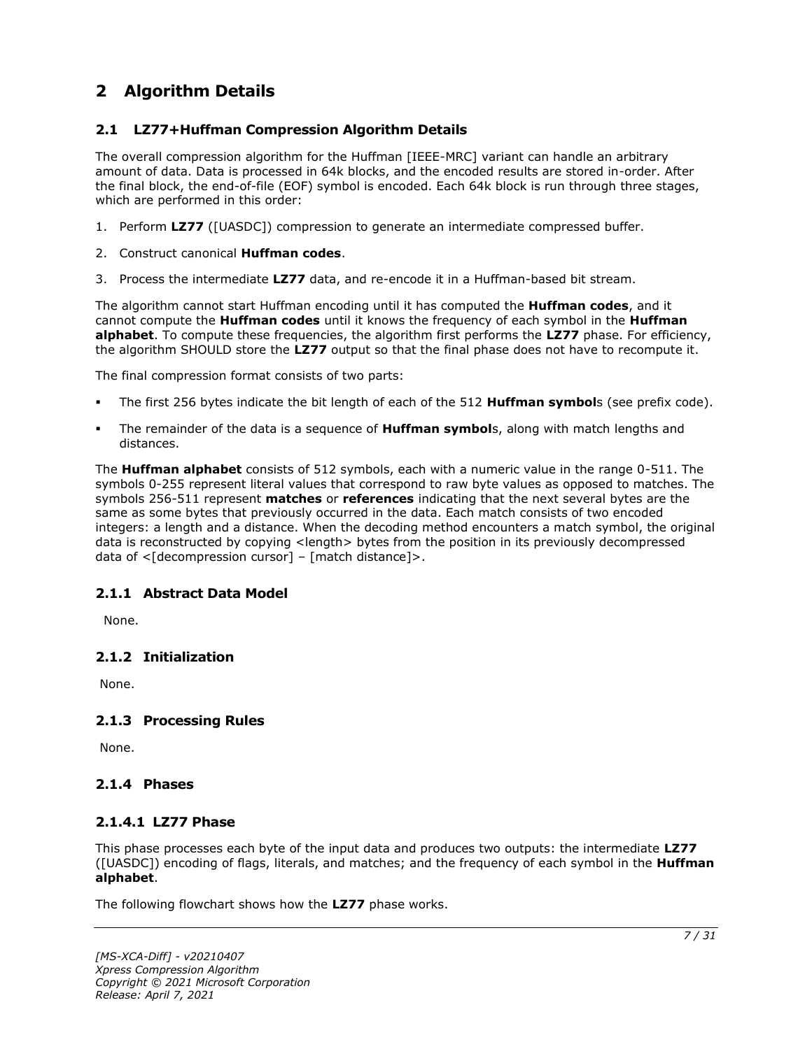# <span id="page-6-0"></span>**2 Algorithm Details**

#### <span id="page-6-1"></span>**2.1 LZ77+Huffman Compression Algorithm Details**

The overall compression algorithm for the Huffman [IEEE-MRC] variant can handle an arbitrary amount of data. Data is processed in 64k blocks, and the encoded results are stored in-order. After the final block, the end-of-file (EOF) symbol is encoded. Each 64k block is run through three stages, which are performed in this order:

- 1. Perform **LZ77** ([UASDC]) compression to generate an intermediate compressed buffer.
- 2. Construct canonical **Huffman codes**.
- 3. Process the intermediate **LZ77** data, and re-encode it in a Huffman-based bit stream.

The algorithm cannot start Huffman encoding until it has computed the **Huffman codes**, and it cannot compute the **Huffman codes** until it knows the frequency of each symbol in the **Huffman alphabet**. To compute these frequencies, the algorithm first performs the **LZ77** phase. For efficiency, the algorithm SHOULD store the **LZ77** output so that the final phase does not have to recompute it.

The final compression format consists of two parts:

- The first 256 bytes indicate the bit length of each of the 512 **Huffman symbol**s (see prefix code).
- The remainder of the data is a sequence of **Huffman symbol**s, along with match lengths and distances.

The **Huffman alphabet** consists of 512 symbols, each with a numeric value in the range 0-511. The symbols 0-255 represent literal values that correspond to raw byte values as opposed to matches. The symbols 256-511 represent **matches** or **references** indicating that the next several bytes are the same as some bytes that previously occurred in the data. Each match consists of two encoded integers: a length and a distance. When the decoding method encounters a match symbol, the original data is reconstructed by copying <length> bytes from the position in its previously decompressed data of  $\leq$ [decompression cursor] – [match distance]>.

#### <span id="page-6-2"></span>**2.1.1 Abstract Data Model**

None.

#### <span id="page-6-3"></span>**2.1.2 Initialization**

None.

#### <span id="page-6-4"></span>**2.1.3 Processing Rules**

None.

#### <span id="page-6-6"></span><span id="page-6-5"></span>**2.1.4 Phases**

#### **2.1.4.1 LZ77 Phase**

This phase processes each byte of the input data and produces two outputs: the intermediate **LZ77** ([UASDC]) encoding of flags, literals, and matches; and the frequency of each symbol in the **Huffman alphabet**.

The following flowchart shows how the **LZ77** phase works.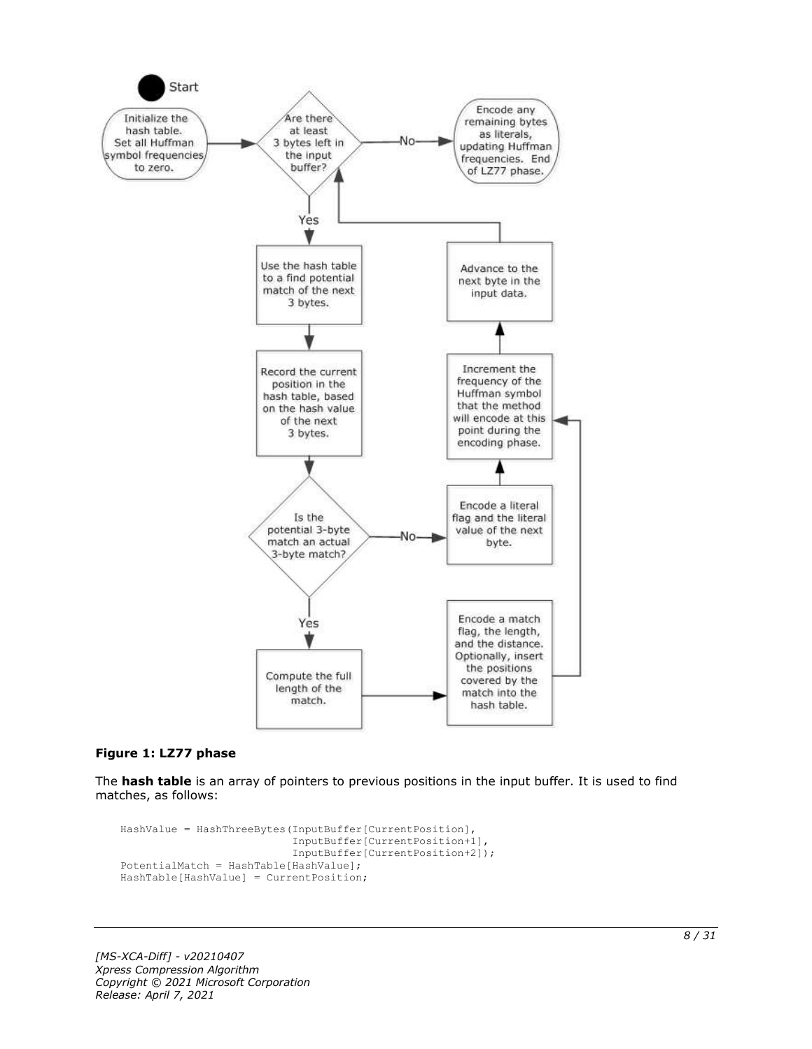

#### **Figure 1: LZ77 phase**

The **hash table** is an array of pointers to previous positions in the input buffer. It is used to find matches, as follows:

```
HashValue = HashThreeBytes(InputBuffer[CurrentPosition],
                            InputBuffer[CurrentPosition+1],
                           InputBuffer[CurrentPosition+2]);
PotentialMatch = HashTable[HashValue];
HashTable[HashValue] = CurrentPosition;
```
*[MS-XCA-Diff] - v20210407 Xpress Compression Algorithm Copyright © 2021 Microsoft Corporation Release: April 7, 2021*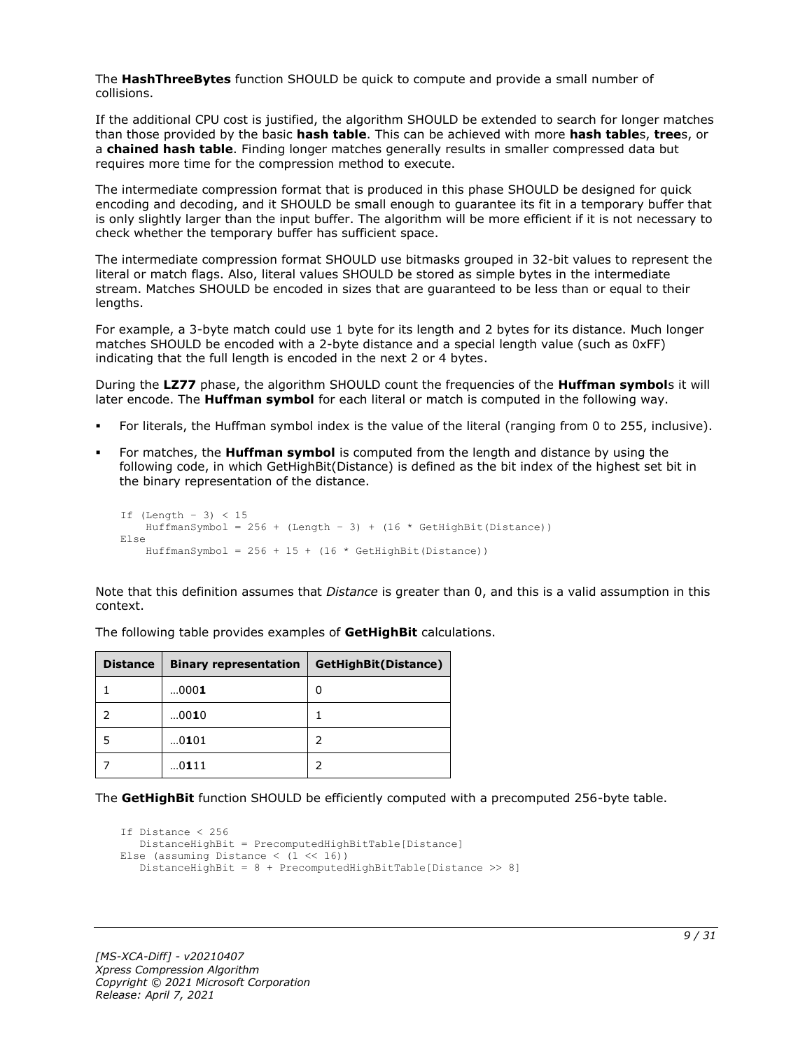The **HashThreeBytes** function SHOULD be quick to compute and provide a small number of collisions.

If the additional CPU cost is justified, the algorithm SHOULD be extended to search for longer matches than those provided by the basic **hash table**. This can be achieved with more **hash table**s, **tree**s, or a **chained hash table**. Finding longer matches generally results in smaller compressed data but requires more time for the compression method to execute.

The intermediate compression format that is produced in this phase SHOULD be designed for quick encoding and decoding, and it SHOULD be small enough to guarantee its fit in a temporary buffer that is only slightly larger than the input buffer. The algorithm will be more efficient if it is not necessary to check whether the temporary buffer has sufficient space.

The intermediate compression format SHOULD use bitmasks grouped in 32-bit values to represent the literal or match flags. Also, literal values SHOULD be stored as simple bytes in the intermediate stream. Matches SHOULD be encoded in sizes that are guaranteed to be less than or equal to their lengths.

For example, a 3-byte match could use 1 byte for its length and 2 bytes for its distance. Much longer matches SHOULD be encoded with a 2-byte distance and a special length value (such as 0xFF) indicating that the full length is encoded in the next 2 or 4 bytes.

During the **LZ77** phase, the algorithm SHOULD count the frequencies of the **Huffman symbol**s it will later encode. The **Huffman symbol** for each literal or match is computed in the following way.

- For literals, the Huffman symbol index is the value of the literal (ranging from 0 to 255, inclusive).
- For matches, the **Huffman symbol** is computed from the length and distance by using the following code, in which GetHighBit(Distance) is defined as the bit index of the highest set bit in the binary representation of the distance.

```
If (Lenqth - 3) < 15HuffmanSymbol = 256 + (Length - 3) + (16 * GetHighBit(Distance))Else
    HuffmanSymbol = 256 + 15 + (16 * \text{GetHighBit}(\text{Distance}))
```
Note that this definition assumes that *Distance* is greater than 0, and this is a valid assumption in this context.

| <b>Distance</b> | <b>Binary representation</b> | GetHighBit(Distance) |
|-----------------|------------------------------|----------------------|
|                 | 0001                         | 0                    |
|                 | 0010                         |                      |
|                 | 0101                         |                      |
|                 | 0111                         |                      |

The following table provides examples of **GetHighBit** calculations.

The **GetHighBit** function SHOULD be efficiently computed with a precomputed 256-byte table.

```
If Distance < 256
    DistanceHighBit = PrecomputedHighBitTable[Distance]
Else (assuming Distance \langle (1 \langle 16))
    DistanceHighBit = 8 + PrecomputedHighBitTable[Distance >> 8]
```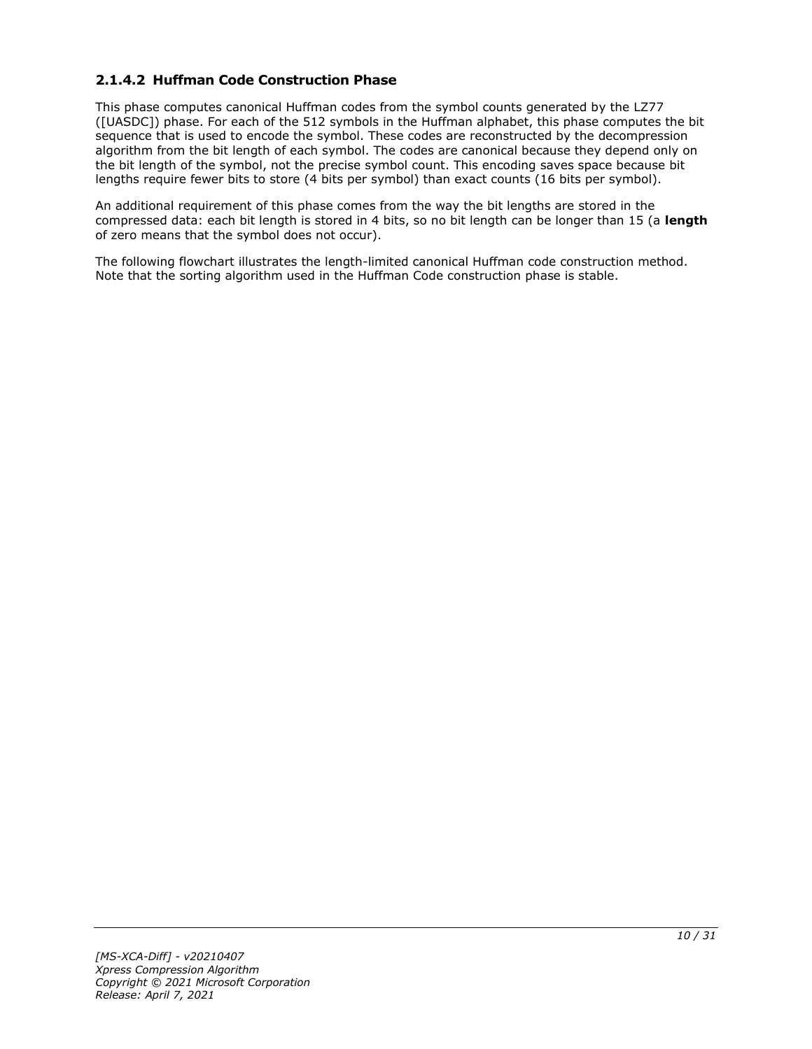### <span id="page-9-0"></span>**2.1.4.2 Huffman Code Construction Phase**

This phase computes canonical Huffman codes from the symbol counts generated by the LZ77 ([UASDC]) phase. For each of the 512 symbols in the Huffman alphabet, this phase computes the bit sequence that is used to encode the symbol. These codes are reconstructed by the decompression algorithm from the bit length of each symbol. The codes are canonical because they depend only on the bit length of the symbol, not the precise symbol count. This encoding saves space because bit lengths require fewer bits to store (4 bits per symbol) than exact counts (16 bits per symbol).

An additional requirement of this phase comes from the way the bit lengths are stored in the compressed data: each bit length is stored in 4 bits, so no bit length can be longer than 15 (a **length** of zero means that the symbol does not occur).

The following flowchart illustrates the length-limited canonical Huffman code construction method. Note that the sorting algorithm used in the Huffman Code construction phase is stable.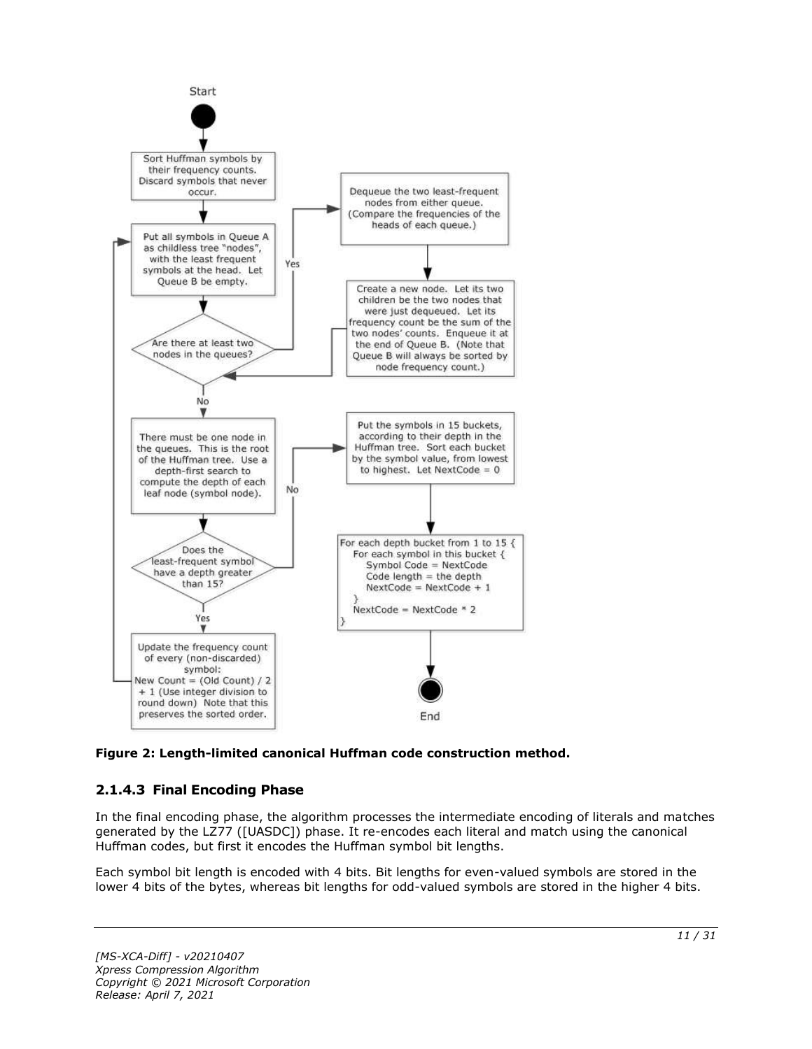

**Figure 2: Length-limited canonical Huffman code construction method.**

### <span id="page-10-0"></span>**2.1.4.3 Final Encoding Phase**

In the final encoding phase, the algorithm processes the intermediate encoding of literals and matches generated by the LZ77 ([UASDC]) phase. It re-encodes each literal and match using the canonical Huffman codes, but first it encodes the Huffman symbol bit lengths.

Each symbol bit length is encoded with 4 bits. Bit lengths for even-valued symbols are stored in the lower 4 bits of the bytes, whereas bit lengths for odd-valued symbols are stored in the higher 4 bits.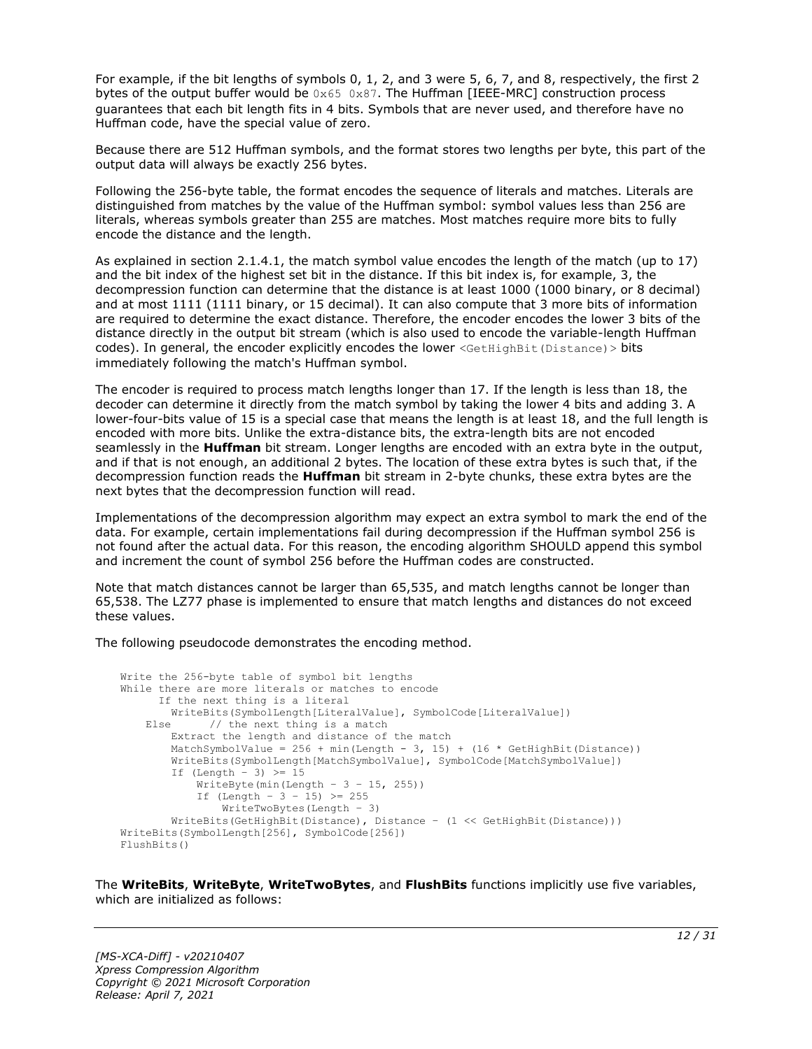For example, if the bit lengths of symbols 0, 1, 2, and 3 were 5, 6, 7, and 8, respectively, the first 2 bytes of the output buffer would be  $0 \times 65$  0x87. The Huffman [IEEE-MRC] construction process guarantees that each bit length fits in 4 bits. Symbols that are never used, and therefore have no Huffman code, have the special value of zero.

Because there are 512 Huffman symbols, and the format stores two lengths per byte, this part of the output data will always be exactly 256 bytes.

Following the 256-byte table, the format encodes the sequence of literals and matches. Literals are distinguished from matches by the value of the Huffman symbol: symbol values less than 256 are literals, whereas symbols greater than 255 are matches. Most matches require more bits to fully encode the distance and the length.

As explained in section 2.1.4.1, the match symbol value encodes the length of the match (up to 17) and the bit index of the highest set bit in the distance. If this bit index is, for example, 3, the decompression function can determine that the distance is at least 1000 (1000 binary, or 8 decimal) and at most 1111 (1111 binary, or 15 decimal). It can also compute that 3 more bits of information are required to determine the exact distance. Therefore, the encoder encodes the lower 3 bits of the distance directly in the output bit stream (which is also used to encode the variable-length Huffman codes). In general, the encoder explicitly encodes the lower <GetHighBit(Distance) > bits immediately following the match's Huffman symbol.

The encoder is required to process match lengths longer than 17. If the length is less than 18, the decoder can determine it directly from the match symbol by taking the lower 4 bits and adding 3. A lower-four-bits value of 15 is a special case that means the length is at least 18, and the full length is encoded with more bits. Unlike the extra-distance bits, the extra-length bits are not encoded seamlessly in the **Huffman** bit stream. Longer lengths are encoded with an extra byte in the output, and if that is not enough, an additional 2 bytes. The location of these extra bytes is such that, if the decompression function reads the **Huffman** bit stream in 2-byte chunks, these extra bytes are the next bytes that the decompression function will read.

Implementations of the decompression algorithm may expect an extra symbol to mark the end of the data. For example, certain implementations fail during decompression if the Huffman symbol 256 is not found after the actual data. For this reason, the encoding algorithm SHOULD append this symbol and increment the count of symbol 256 before the Huffman codes are constructed.

Note that match distances cannot be larger than 65.535, and match lengths cannot be longer than 65,538. The LZ77 phase is implemented to ensure that match lengths and distances do not exceed these values.

The following pseudocode demonstrates the encoding method.

```
Write the 256-byte table of symbol bit lengths
While there are more literals or matches to encode
      If the next thing is a literal
         WriteBits(SymbolLength[LiteralValue], SymbolCode[LiteralValue])
   Else // the next thing is a match
         Extract the length and distance of the match
        MatchSymbolValue = 256 + min(Length - 3, 15) + (16 * GetHighBit(Distance))
         WriteBits(SymbolLength[MatchSymbolValue], SymbolCode[MatchSymbolValue])
        If (Length - 3) \geq 15
            WriteByte(min(Length - 3 - 15, 255))
            If (Length - 3 - 15) >= 255
               WriteTwoBytes(Length - 3)
         WriteBits(GetHighBit(Distance), Distance – (1 << GetHighBit(Distance)))
WriteBits(SymbolLength[256], SymbolCode[256])
FlushBits()
```
The **WriteBits**, **WriteByte**, **WriteTwoBytes**, and **FlushBits** functions implicitly use five variables, which are initialized as follows: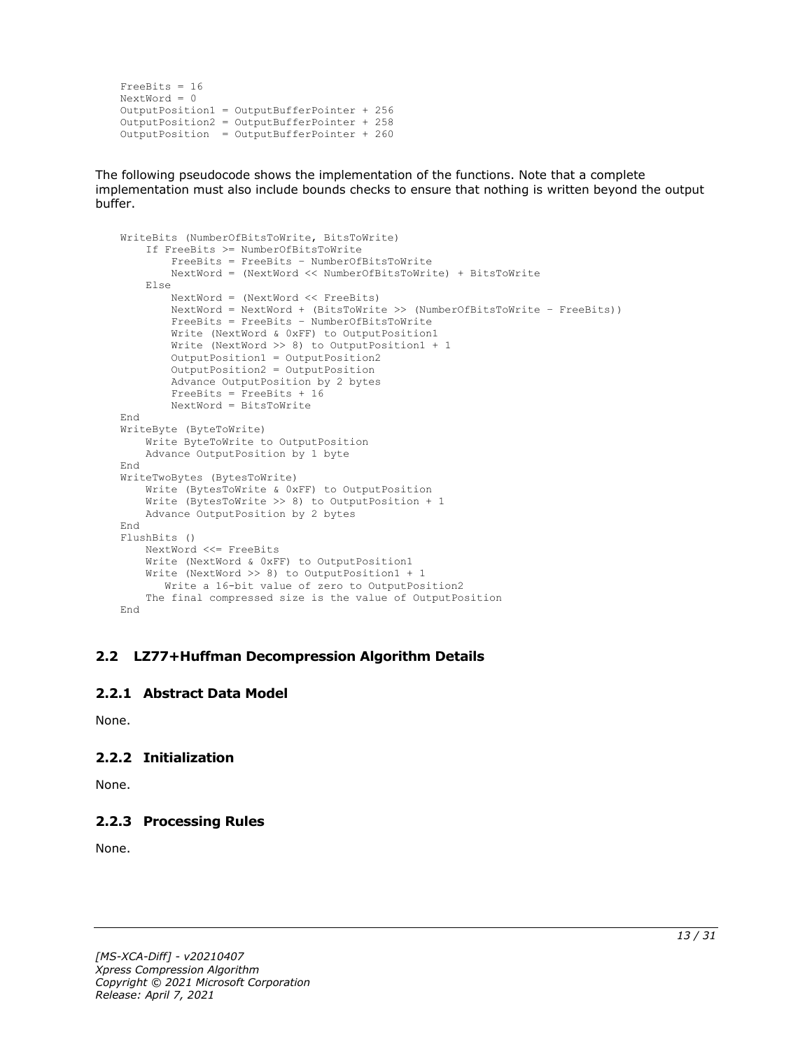```
FreeBits = 16
NextWord = 0
OutputPosition1 = OutputBufferPointer + 256
OutputPosition2 = OutputBufferPointer + 258 
OutputPosition = OutputBufferPointer + 260
```
The following pseudocode shows the implementation of the functions. Note that a complete implementation must also include bounds checks to ensure that nothing is written beyond the output buffer.

```
WriteBits (NumberOfBitsToWrite, BitsToWrite)
     If FreeBits >= NumberOfBitsToWrite
         FreeBits = FreeBits – NumberOfBitsToWrite
         NextWord = (NextWord << NumberOfBitsToWrite) + BitsToWrite
     Else
         NextWord = (NextWord << FreeBits)
         NextWord = NextWord + (BitsToWrite >> (NumberOfBitsToWrite – FreeBits))
         FreeBits = FreeBits – NumberOfBitsToWrite
         Write (NextWord & 0xFF) to OutputPosition1
         Write (NextWord >> 8) to OutputPosition1 + 1
         OutputPosition1 = OutputPosition2
        OutputPosition2 = OutputPosition
         Advance OutputPosition by 2 bytes
         FreeBits = FreeBits + 16
         NextWord = BitsToWrite
End
WriteByte (ByteToWrite)
    Write ByteToWrite to OutputPosition
     Advance OutputPosition by 1 byte
End
WriteTwoBytes (BytesToWrite)
     Write (BytesToWrite & 0xFF) to OutputPosition
     Write (BytesToWrite >> 8) to OutputPosition + 1
     Advance OutputPosition by 2 bytes
End
FlushBits ()
     NextWord <<= FreeBits
     Write (NextWord & 0xFF) to OutputPosition1
     Write (NextWord >> 8) to OutputPosition1 + 1
       Write a 16-bit value of zero to OutputPosition2
     The final compressed size is the value of OutputPosition
End
```
#### <span id="page-12-0"></span>**2.2 LZ77+Huffman Decompression Algorithm Details**

#### <span id="page-12-1"></span>**2.2.1 Abstract Data Model**

None.

#### <span id="page-12-2"></span>**2.2.2 Initialization**

None.

#### <span id="page-12-3"></span>**2.2.3 Processing Rules**

None.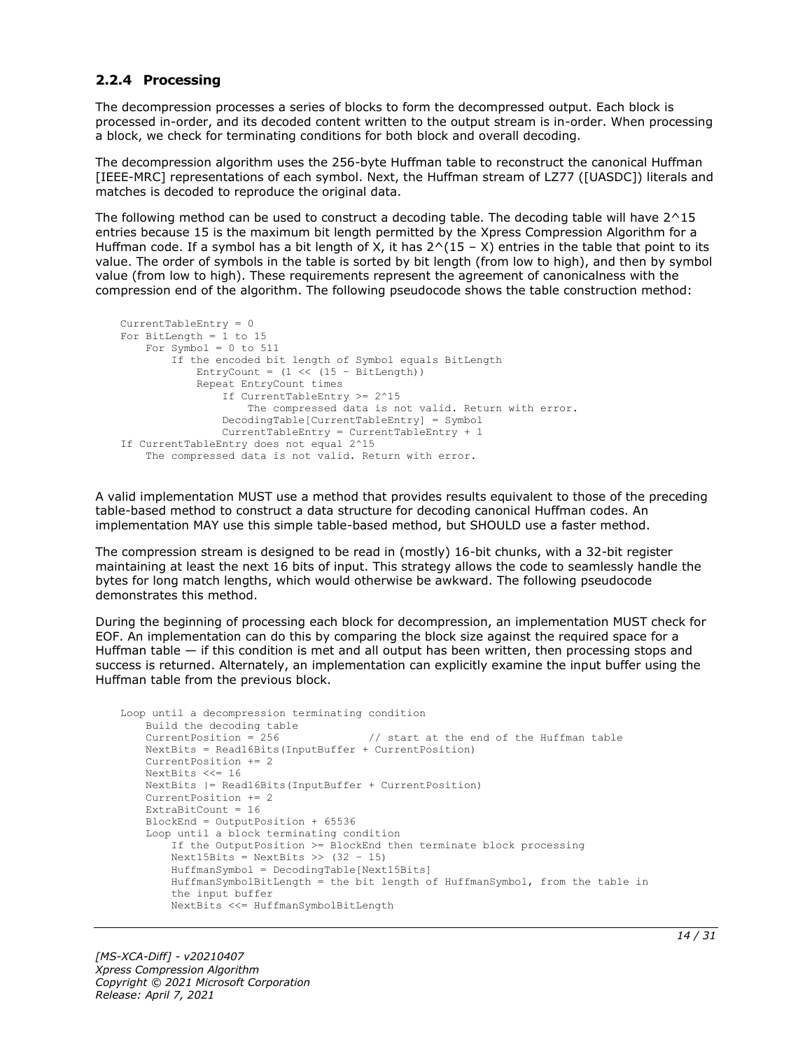#### <span id="page-13-0"></span>**2.2.4 Processing**

The decompression processes a series of blocks to form the decompressed output. Each block is processed in-order, and its decoded content written to the output stream is in-order. When processing a block, we check for terminating conditions for both block and overall decoding.

The decompression algorithm uses the 256-byte Huffman table to reconstruct the canonical Huffman [IEEE-MRC] representations of each symbol. Next, the Huffman stream of LZ77 ([UASDC]) literals and matches is decoded to reproduce the original data.

The following method can be used to construct a decoding table. The decoding table will have 2^15 entries because 15 is the maximum bit length permitted by the Xpress Compression Algorithm for a Huffman code. If a symbol has a bit length of X, it has  $2^(15 - X)$  entries in the table that point to its value. The order of symbols in the table is sorted by bit length (from low to high), and then by symbol value (from low to high). These requirements represent the agreement of canonicalness with the compression end of the algorithm. The following pseudocode shows the table construction method:

```
CurrentTableEntry = 0
For BitLength = 1 to 15
   For Symbol = 0 to 511
         If the encoded bit length of Symbol equals BitLength
            \text{Entropy} = (1 \ll (15 - \text{BitLength})) Repeat EntryCount times
                 If CurrentTableEntry >= 2^15
                     The compressed data is not valid. Return with error.
                 DecodingTable[CurrentTableEntry] = Symbol
                 CurrentTableEntry = CurrentTableEntry + 1
If CurrentTableEntry does not equal 2^15
     The compressed data is not valid. Return with error.
```
A valid implementation MUST use a method that provides results equivalent to those of the preceding table-based method to construct a data structure for decoding canonical Huffman codes. An implementation MAY use this simple table-based method, but SHOULD use a faster method.

The compression stream is designed to be read in (mostly) 16-bit chunks, with a 32-bit register maintaining at least the next 16 bits of input. This strategy allows the code to seamlessly handle the bytes for long match lengths, which would otherwise be awkward. The following pseudocode demonstrates this method.

During the beginning of processing each block for decompression, an implementation MUST check for EOF. An implementation can do this by comparing the block size against the required space for a Huffman table — if this condition is met and all output has been written, then processing stops and success is returned. Alternately, an implementation can explicitly examine the input buffer using the Huffman table from the previous block.

```
Loop until a decompression terminating condition 
    Build the decoding table
   CurrentPosition = 256 // start at the end of the Huffman table
    NextBits = Read16Bits(InputBuffer + CurrentPosition)
    CurrentPosition += 2
    NextBits <<= 16
    NextBits |= Read16Bits(InputBuffer + CurrentPosition)
    CurrentPosition += 2
   ExtraBitCount = 16 BlockEnd = OutputPosition + 65536
    Loop until a block terminating condition
         If the OutputPosition >= BlockEnd then terminate block processing
       Next15Bits = NextBits \gg (32 - 15) HuffmanSymbol = DecodingTable[Next15Bits]
         HuffmanSymbolBitLength = the bit length of HuffmanSymbol, from the table in
         the input buffer
        NextBits <<= HuffmanSymbolBitLength
```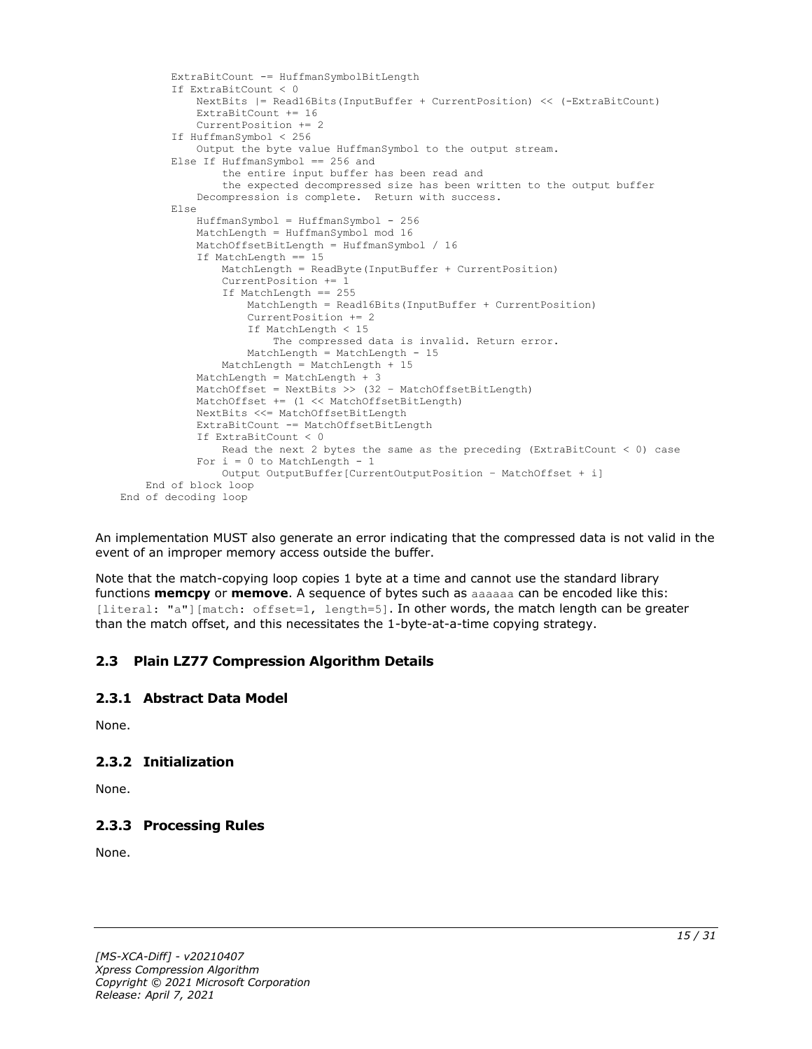```
 ExtraBitCount -= HuffmanSymbolBitLength
         If ExtraBitCount < 0
             NextBits |= Read16Bits(InputBuffer + CurrentPosition) << (-ExtraBitCount)
             ExtraBitCount += 16
             CurrentPosition += 2
         If HuffmanSymbol < 256
             Output the byte value HuffmanSymbol to the output stream.
         Else If HuffmanSymbol == 256 and
                 the entire input buffer has been read and
                the expected decompressed size has been written to the output buffer
             Decompression is complete. Return with success.
         Else
             HuffmanSymbol = HuffmanSymbol - 256
             MatchLength = HuffmanSymbol mod 16
             MatchOffsetBitLength = HuffmanSymbol / 16
             If MatchLength == 15
                 MatchLength = ReadByte(InputBuffer + CurrentPosition)
                CurrentPosition += 1
                 If MatchLength == 255
                     MatchLength = Read16Bits(InputBuffer + CurrentPosition)
                    CurrentPosition += 2
                     If MatchLength < 15
                         The compressed data is invalid. Return error.
                     MatchLength = MatchLength - 15
                 MatchLength = MatchLength + 15
             MatchLength = MatchLength + 3
            MatchOffset = NextBits >> (32 - \text{MatchOffsetBitLength}) MatchOffset += (1 << MatchOffsetBitLength)
             NextBits <<= MatchOffsetBitLength
             ExtraBitCount -= MatchOffsetBitLength
             If ExtraBitCount < 0
                 Read the next 2 bytes the same as the preceding (ExtraBitCount < 0) case
            For i = 0 to MatchLength - 1
                 Output OutputBuffer[CurrentOutputPosition – MatchOffset + i]
     End of block loop
End of decoding loop
```
An implementation MUST also generate an error indicating that the compressed data is not valid in the event of an improper memory access outside the buffer.

Note that the match-copying loop copies 1 byte at a time and cannot use the standard library functions **memcpy** or **memove**. A sequence of bytes such as aaaaaa can be encoded like this: [literal: "a"][match: offset=1, length=5]. In other words, the match length can be greater than the match offset, and this necessitates the 1-byte-at-a-time copying strategy.

#### <span id="page-14-0"></span>**2.3 Plain LZ77 Compression Algorithm Details**

#### <span id="page-14-1"></span>**2.3.1 Abstract Data Model**

None.

#### <span id="page-14-2"></span>**2.3.2 Initialization**

None.

#### <span id="page-14-3"></span>**2.3.3 Processing Rules**

None.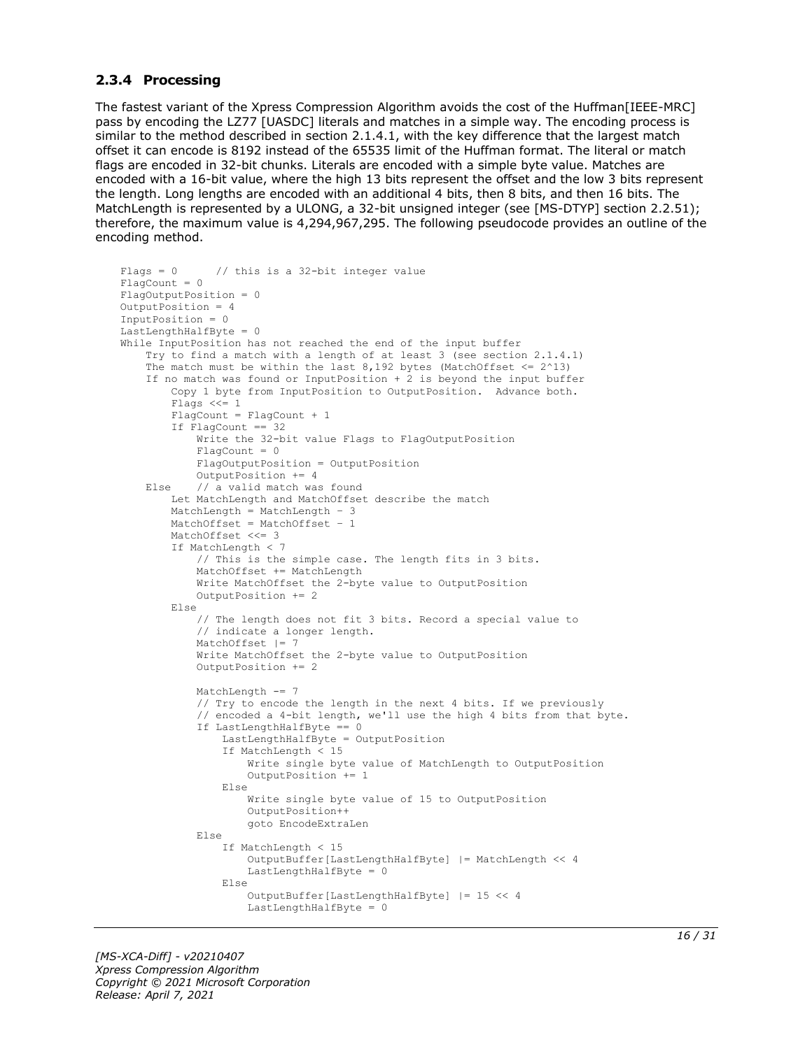#### <span id="page-15-0"></span>**2.3.4 Processing**

The fastest variant of the Xpress Compression Algorithm avoids the cost of the Huffman[IEEE-MRC] pass by encoding the LZ77 [UASDC] literals and matches in a simple way. The encoding process is similar to the method described in section 2.1.4.1, with the key difference that the largest match offset it can encode is 8192 instead of the 65535 limit of the Huffman format. The literal or match flags are encoded in 32-bit chunks. Literals are encoded with a simple byte value. Matches are encoded with a 16-bit value, where the high 13 bits represent the offset and the low 3 bits represent the length. Long lengths are encoded with an additional 4 bits, then 8 bits, and then 16 bits. The MatchLength is represented by a ULONG, a 32-bit unsigned integer (see [MS-DTYP] section 2.2.51); therefore, the maximum value is 4,294,967,295. The following pseudocode provides an outline of the encoding method.

```
Flags = 0 // this is a 32-bit integer value
FlaqCount = 0FlagOutputPosition = 0
OutputPosition = 4
InputPosition = 0
LastLengthHalfByte = 0
While InputPosition has not reached the end of the input buffer
     Try to find a match with a length of at least 3 (see section 2.1.4.1)
    The match must be within the last 8,192 bytes (MatchOffset \leq 2^13)
     If no match was found or InputPosition + 2 is beyond the input buffer
         Copy 1 byte from InputPosition to OutputPosition. Advance both.
         Flags <<= 1
         FlagCount = FlagCount + 1
         If FlagCount == 32
             Write the 32-bit value Flags to FlagOutputPosition
             FlagCount = 0
             FlagOutputPosition = OutputPosition
             OutputPosition += 4
     Else // a valid match was found
         Let MatchLength and MatchOffset describe the match
 MatchLength = MatchLength – 3
 MatchOffset = MatchOffset – 1
         MatchOffset <<= 3
         If MatchLength < 7
             // This is the simple case. The length fits in 3 bits.
             MatchOffset += MatchLength
             Write MatchOffset the 2-byte value to OutputPosition
             OutputPosition += 2
         Else
             // The length does not fit 3 bits. Record a special value to
             // indicate a longer length.
             MatchOffset |= 7
             Write MatchOffset the 2-byte value to OutputPosition
             OutputPosition += 2
             MatchLength -= 7
             // Try to encode the length in the next 4 bits. If we previously
             // encoded a 4-bit length, we'll use the high 4 bits from that byte.
             If LastLengthHalfByte == 0
                 LastLengthHalfByte = OutputPosition
                 If MatchLength < 15
                     Write single byte value of MatchLength to OutputPosition
                    OutputPosition += 1
                 Else
                     Write single byte value of 15 to OutputPosition
                    OutputPosition++
                    goto EncodeExtraLen
             Else
                 If MatchLength < 15
                     OutputBuffer[LastLengthHalfByte] |= MatchLength << 4
                    LastLengthHalfByte = 0
                 Else
                     OutputBuffer[LastLengthHalfByte] |= 15 << 4
                    LastLengthHalfByte = 0
```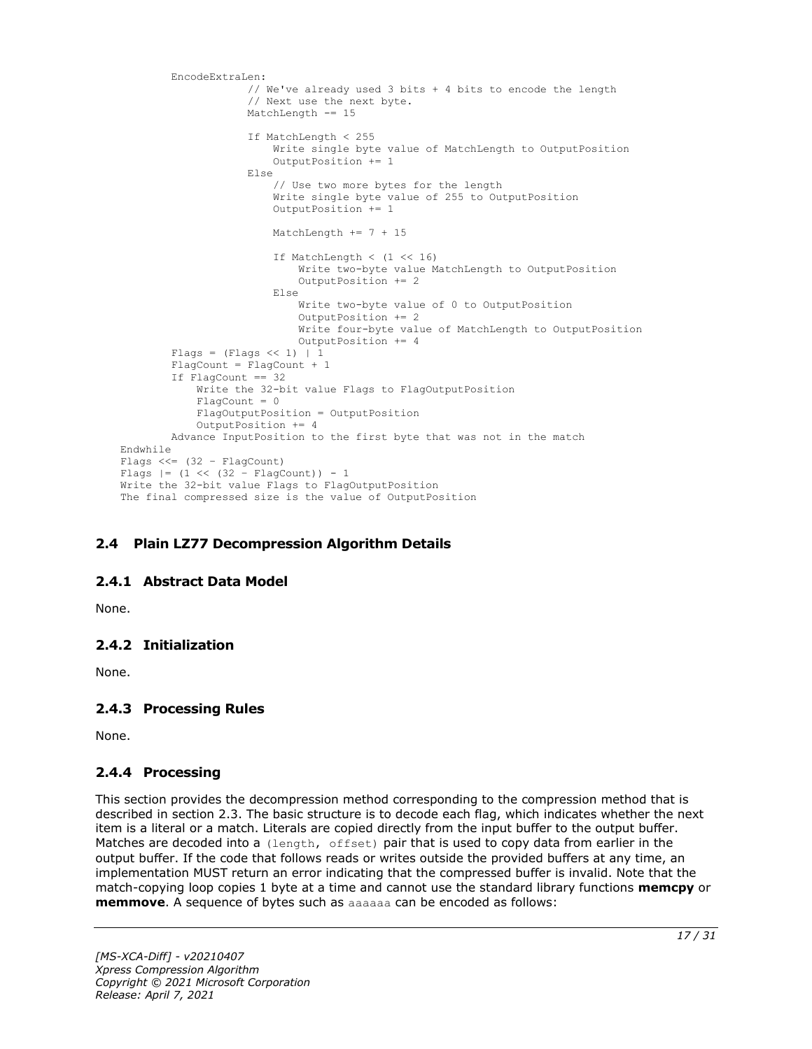```
 EncodeExtraLen:
                      // We've already used 3 bits + 4 bits to encode the length
                     // Next use the next byte.
                     MatchLength -= 15
                      If MatchLength < 255
                          Write single byte value of MatchLength to OutputPosition
                          OutputPosition += 1
                      Else
                          // Use two more bytes for the length
                         Write single byte value of 255 to OutputPosition
                          OutputPosition += 1
                          MatchLength += 7 + 15
                         If MatchLength \langle (1 \langle 16)
                              Write two-byte value MatchLength to OutputPosition
                             OutputPosition += 2 Else
                              Write two-byte value of 0 to OutputPosition
                              OutputPosition += 2
                             Write four-byte value of MatchLength to OutputPosition
                              OutputPosition += 4
        Flags = (Flags << 1) | 1
         FlagCount = FlagCount + 1
         If FlagCount == 32
             Write the 32-bit value Flags to FlagOutputPosition
             FlagCount = 0
             FlagOutputPosition = OutputPosition
             OutputPosition += 4
         Advance InputPosition to the first byte that was not in the match
Endwhile
Flags <<=(32 - \text{FlagCount})Flags | = (1 \lt \lt (32 - \text{FlagCount})) - 1Write the 32-bit value Flags to FlagOutputPosition
The final compressed size is the value of OutputPosition
```
#### <span id="page-16-0"></span>**2.4 Plain LZ77 Decompression Algorithm Details**

#### <span id="page-16-1"></span>**2.4.1 Abstract Data Model**

None.

#### <span id="page-16-2"></span>**2.4.2 Initialization**

None.

#### <span id="page-16-3"></span>**2.4.3 Processing Rules**

None.

#### <span id="page-16-4"></span>**2.4.4 Processing**

This section provides the decompression method corresponding to the compression method that is described in section 2.3. The basic structure is to decode each flag, which indicates whether the next item is a literal or a match. Literals are copied directly from the input buffer to the output buffer. Matches are decoded into a (length, offset) pair that is used to copy data from earlier in the output buffer. If the code that follows reads or writes outside the provided buffers at any time, an implementation MUST return an error indicating that the compressed buffer is invalid. Note that the match-copying loop copies 1 byte at a time and cannot use the standard library functions **memcpy** or **memmove**. A sequence of bytes such as aaaaaa can be encoded as follows: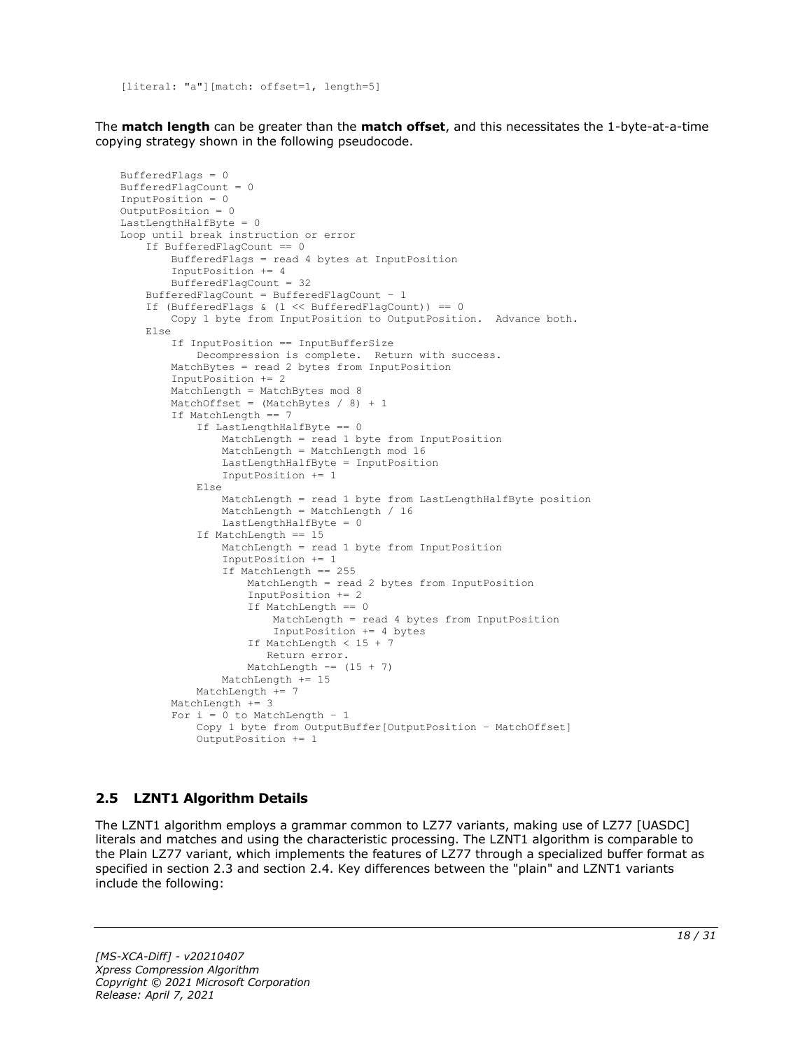[literal: "a"][match: offset=1, length=5]

The **match length** can be greater than the **match offset**, and this necessitates the 1-byte-at-a-time copying strategy shown in the following pseudocode.

```
BufferedFlags = 0
BufferedFlagCount = 0
InputPosition = 0
OutputPosition = 0
LastLengthHalfByte = 0
Loop until break instruction or error
     If BufferedFlagCount == 0
         BufferedFlags = read 4 bytes at InputPosition
         InputPosition += 4
         BufferedFlagCount = 32
     BufferedFlagCount = BufferedFlagCount – 1
     If (BufferedFlags & (1 << BufferedFlagCount)) == 0
         Copy 1 byte from InputPosition to OutputPosition. Advance both.
     Else
         If InputPosition == InputBufferSize
             Decompression is complete. Return with success.
         MatchBytes = read 2 bytes from InputPosition
         InputPosition += 2
         MatchLength = MatchBytes mod 8
        MatchOffset = (MatchBytes / 8) + 1 If MatchLength == 7
             If LastLengthHalfByte == 0
                 MatchLength = read 1 byte from InputPosition
                MatchLength = MatchLength mod 16
                LastLengthHalfByte = InputPosition
                 InputPosition += 1
             Else
                 MatchLength = read 1 byte from LastLengthHalfByte position
                MatchLength = MatchLength / 16
                 LastLengthHalfByte = 0
             If MatchLength == 15
                 MatchLength = read 1 byte from InputPosition
                 InputPosition += 1
                 If MatchLength == 255
                     MatchLength = read 2 bytes from InputPosition
                    InputPosition += 2
                    If MatchLength == 0
                         MatchLength = read 4 bytes from InputPosition
                        InputPosition += 4 bytes
                     If MatchLength < 15 + 7
                        Return error.
                    MatchLength == (15 + 7)
                 MatchLength += 15
             MatchLength += 7
         MatchLength += 3
        For i = 0 to MatchLength - 1
             Copy 1 byte from OutputBuffer[OutputPosition – MatchOffset]
             OutputPosition += 1
```
#### <span id="page-17-0"></span>**2.5 LZNT1 Algorithm Details**

The LZNT1 algorithm employs a grammar common to LZ77 variants, making use of LZ77 [UASDC] literals and matches and using the characteristic processing. The LZNT1 algorithm is comparable to the Plain LZ77 variant, which implements the features of LZ77 through a specialized buffer format as specified in section 2.3 and section 2.4. Key differences between the "plain" and LZNT1 variants include the following: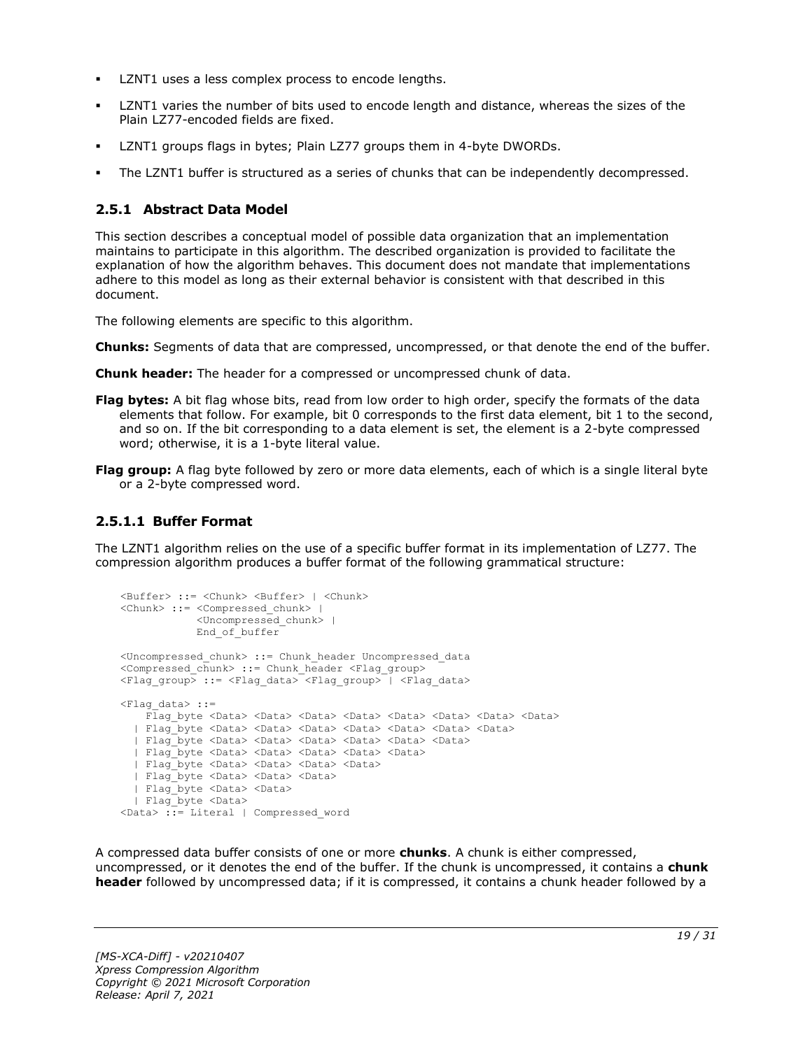- LZNT1 uses a less complex process to encode lengths.
- LZNT1 varies the number of bits used to encode length and distance, whereas the sizes of the Plain LZ77-encoded fields are fixed.
- LZNT1 groups flags in bytes; Plain LZ77 groups them in 4-byte DWORDs.
- The LZNT1 buffer is structured as a series of chunks that can be independently decompressed.

#### <span id="page-18-0"></span>**2.5.1 Abstract Data Model**

This section describes a conceptual model of possible data organization that an implementation maintains to participate in this algorithm. The described organization is provided to facilitate the explanation of how the algorithm behaves. This document does not mandate that implementations adhere to this model as long as their external behavior is consistent with that described in this document.

The following elements are specific to this algorithm.

- **Chunks:** Segments of data that are compressed, uncompressed, or that denote the end of the buffer.
- **Chunk header:** The header for a compressed or uncompressed chunk of data.
- **Flag bytes:** A bit flag whose bits, read from low order to high order, specify the formats of the data elements that follow. For example, bit 0 corresponds to the first data element, bit 1 to the second, and so on. If the bit corresponding to a data element is set, the element is a 2-byte compressed word; otherwise, it is a 1-byte literal value.
- **Flag group:** A flag byte followed by zero or more data elements, each of which is a single literal byte or a 2-byte compressed word.

### <span id="page-18-1"></span>**2.5.1.1 Buffer Format**

The LZNT1 algorithm relies on the use of a specific buffer format in its implementation of LZ77. The compression algorithm produces a buffer format of the following grammatical structure:

```
<Buffer> ::= <Chunk> <Buffer> | <Chunk>
<Chunk> ::= <Compressed_chunk> | 
             <Uncompressed_chunk> |
            End_of buffer
<Uncompressed_chunk> ::= Chunk_header Uncompressed_data
<Compressed_chunk> ::= Chunk_header <Flag_group>
<Flag_group> ::= <Flag_data> <Flag_group> | <Flag_data>
<Flag_data> ::=
    Flag byte <Data> <Data> <Data> <Data> <Data> <Data> <Data> <Data> <Data> <Data> <Data> <Data> <Data
   | Flag_byte <Data> <Data> <Data> <Data> <Data> <Data> <Data>
   | Flag_byte <Data> <Data> <Data> <Data> <Data> <Data>
   | Flag_byte <Data> <Data> <Data> <Data> <Data>
   | Flag_byte <Data> <Data> <Data> <Data>
   | Flag_byte <Data> <Data> <Data> 
   | Flag_byte <Data> <Data>
   | Flag_byte <Data> 
<Data> ::= Literal | Compressed_word
```
A compressed data buffer consists of one or more **chunks**. A chunk is either compressed, uncompressed, or it denotes the end of the buffer. If the chunk is uncompressed, it contains a **chunk header** followed by uncompressed data; if it is compressed, it contains a chunk header followed by a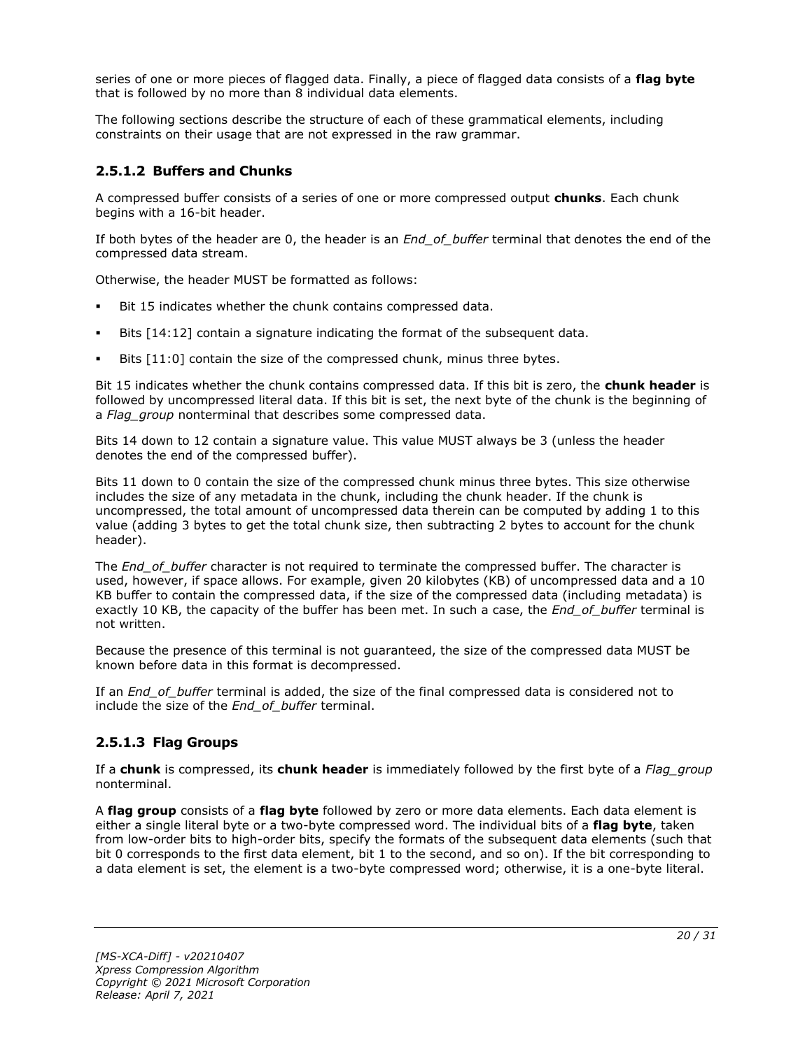series of one or more pieces of flagged data. Finally, a piece of flagged data consists of a **flag byte** that is followed by no more than 8 individual data elements.

The following sections describe the structure of each of these grammatical elements, including constraints on their usage that are not expressed in the raw grammar.

### <span id="page-19-0"></span>**2.5.1.2 Buffers and Chunks**

A compressed buffer consists of a series of one or more compressed output **chunks**. Each chunk begins with a 16-bit header.

If both bytes of the header are 0, the header is an *End\_of\_buffer* terminal that denotes the end of the compressed data stream.

Otherwise, the header MUST be formatted as follows:

- Bit 15 indicates whether the chunk contains compressed data.
- Bits  $[14:12]$  contain a signature indicating the format of the subsequent data.
- Bits [11:0] contain the size of the compressed chunk, minus three bytes.

Bit 15 indicates whether the chunk contains compressed data. If this bit is zero, the **chunk header** is followed by uncompressed literal data. If this bit is set, the next byte of the chunk is the beginning of a *Flag\_group* nonterminal that describes some compressed data.

Bits 14 down to 12 contain a signature value. This value MUST always be 3 (unless the header denotes the end of the compressed buffer).

Bits 11 down to 0 contain the size of the compressed chunk minus three bytes. This size otherwise includes the size of any metadata in the chunk, including the chunk header. If the chunk is uncompressed, the total amount of uncompressed data therein can be computed by adding 1 to this value (adding 3 bytes to get the total chunk size, then subtracting 2 bytes to account for the chunk header).

The *End* of buffer character is not required to terminate the compressed buffer. The character is used, however, if space allows. For example, given 20 kilobytes (KB) of uncompressed data and a 10 KB buffer to contain the compressed data, if the size of the compressed data (including metadata) is exactly 10 KB, the capacity of the buffer has been met. In such a case, the *End\_of\_buffer* terminal is not written.

Because the presence of this terminal is not guaranteed, the size of the compressed data MUST be known before data in this format is decompressed.

If an *End\_of\_buffer* terminal is added, the size of the final compressed data is considered not to include the size of the *End\_of\_buffer* terminal.

#### <span id="page-19-1"></span>**2.5.1.3 Flag Groups**

If a **chunk** is compressed, its **chunk header** is immediately followed by the first byte of a *Flag\_group* nonterminal.

A **flag group** consists of a **flag byte** followed by zero or more data elements. Each data element is either a single literal byte or a two-byte compressed word. The individual bits of a **flag byte**, taken from low-order bits to high-order bits, specify the formats of the subsequent data elements (such that bit 0 corresponds to the first data element, bit 1 to the second, and so on). If the bit corresponding to a data element is set, the element is a two-byte compressed word; otherwise, it is a one-byte literal.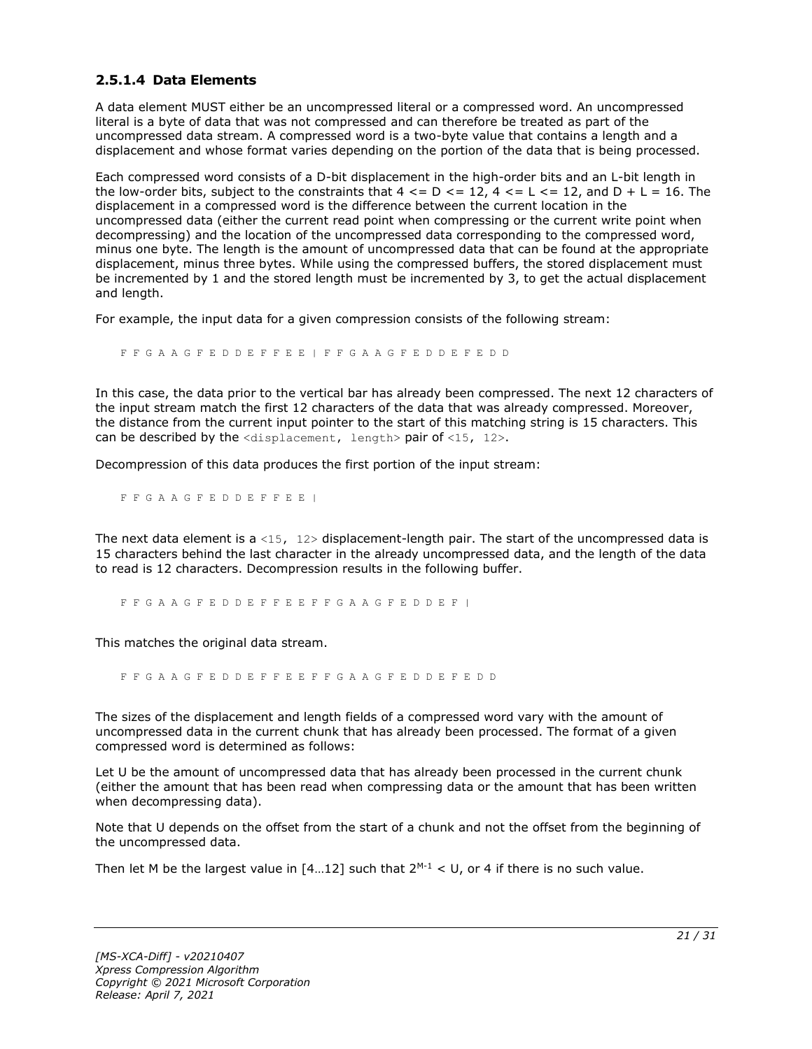#### <span id="page-20-0"></span>**2.5.1.4 Data Elements**

A data element MUST either be an uncompressed literal or a compressed word. An uncompressed literal is a byte of data that was not compressed and can therefore be treated as part of the uncompressed data stream. A compressed word is a two-byte value that contains a length and a displacement and whose format varies depending on the portion of the data that is being processed.

Each compressed word consists of a D-bit displacement in the high-order bits and an L-bit length in the low-order bits, subject to the constraints that  $4 \leq D \leq 12$ ,  $4 \leq L \leq 12$ , and  $D + L = 16$ . The displacement in a compressed word is the difference between the current location in the uncompressed data (either the current read point when compressing or the current write point when decompressing) and the location of the uncompressed data corresponding to the compressed word, minus one byte. The length is the amount of uncompressed data that can be found at the appropriate displacement, minus three bytes. While using the compressed buffers, the stored displacement must be incremented by 1 and the stored length must be incremented by 3, to get the actual displacement and length.

For example, the input data for a given compression consists of the following stream:

F F G A A G F E D D E F F E E | F F G A A G F E D D E F E D D

In this case, the data prior to the vertical bar has already been compressed. The next 12 characters of the input stream match the first 12 characters of the data that was already compressed. Moreover, the distance from the current input pointer to the start of this matching string is 15 characters. This can be described by the  $\langle$ displacement, length> pair of  $\langle$ 15, 12>.

Decompression of this data produces the first portion of the input stream:

F F G A A G F E D D E F F E E |

The next data element is a <15,  $12$ > displacement-length pair. The start of the uncompressed data is 15 characters behind the last character in the already uncompressed data, and the length of the data to read is 12 characters. Decompression results in the following buffer.

F F G A A G F E D D E F F E E F F G A A G F E D D E F |

This matches the original data stream.

F F G A A G F E D D E F F E E F F G A A G F E D D E F E D D

The sizes of the displacement and length fields of a compressed word vary with the amount of uncompressed data in the current chunk that has already been processed. The format of a given compressed word is determined as follows:

Let U be the amount of uncompressed data that has already been processed in the current chunk (either the amount that has been read when compressing data or the amount that has been written when decompressing data).

Note that U depends on the offset from the start of a chunk and not the offset from the beginning of the uncompressed data.

Then let M be the largest value in  $[4...12]$  such that  $2^{M-1} < U$ , or 4 if there is no such value.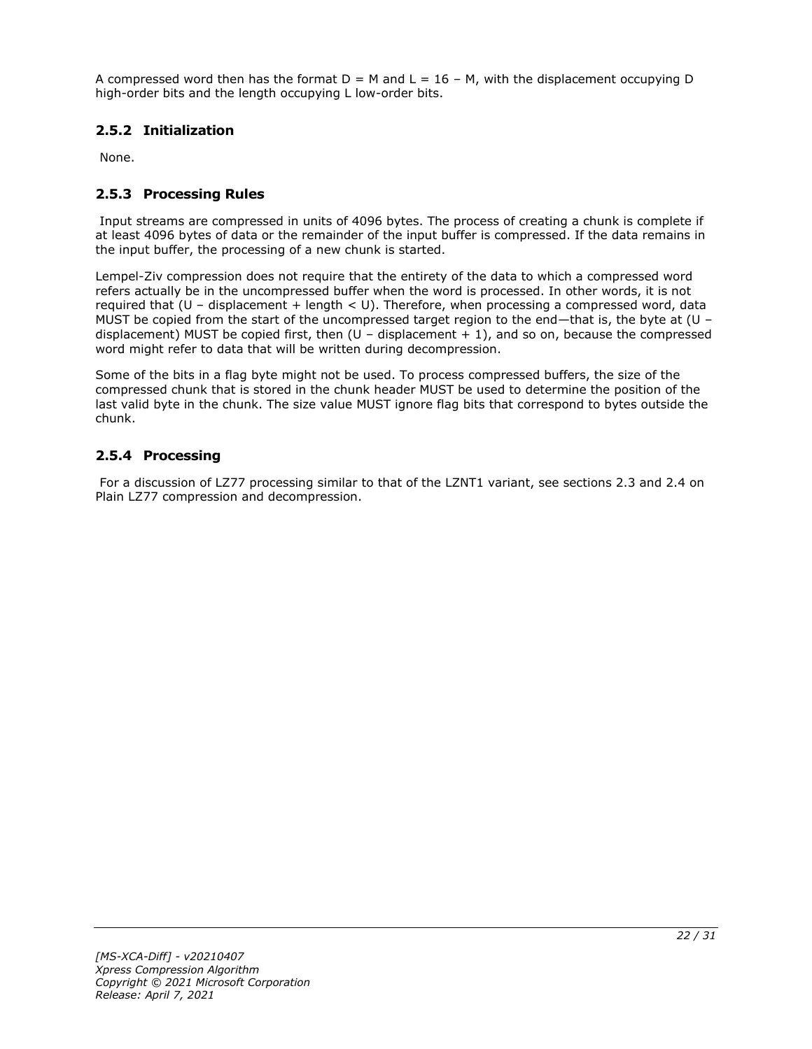A compressed word then has the format  $D = M$  and  $L = 16 - M$ , with the displacement occupying D high-order bits and the length occupying L low-order bits.

### <span id="page-21-0"></span>**2.5.2 Initialization**

None.

### <span id="page-21-1"></span>**2.5.3 Processing Rules**

Input streams are compressed in units of 4096 bytes. The process of creating a chunk is complete if at least 4096 bytes of data or the remainder of the input buffer is compressed. If the data remains in the input buffer, the processing of a new chunk is started.

Lempel-Ziv compression does not require that the entirety of the data to which a compressed word refers actually be in the uncompressed buffer when the word is processed. In other words, it is not required that (U – displacement + length < U). Therefore, when processing a compressed word, data MUST be copied from the start of the uncompressed target region to the end—that is, the byte at (U – displacement) MUST be copied first, then  $(U -$  displacement  $+ 1)$ , and so on, because the compressed word might refer to data that will be written during decompression.

Some of the bits in a flag byte might not be used. To process compressed buffers, the size of the compressed chunk that is stored in the chunk header MUST be used to determine the position of the last valid byte in the chunk. The size value MUST ignore flag bits that correspond to bytes outside the chunk.

### <span id="page-21-2"></span>**2.5.4 Processing**

For a discussion of LZ77 processing similar to that of the LZNT1 variant, see sections 2.3 and 2.4 on Plain LZ77 compression and decompression.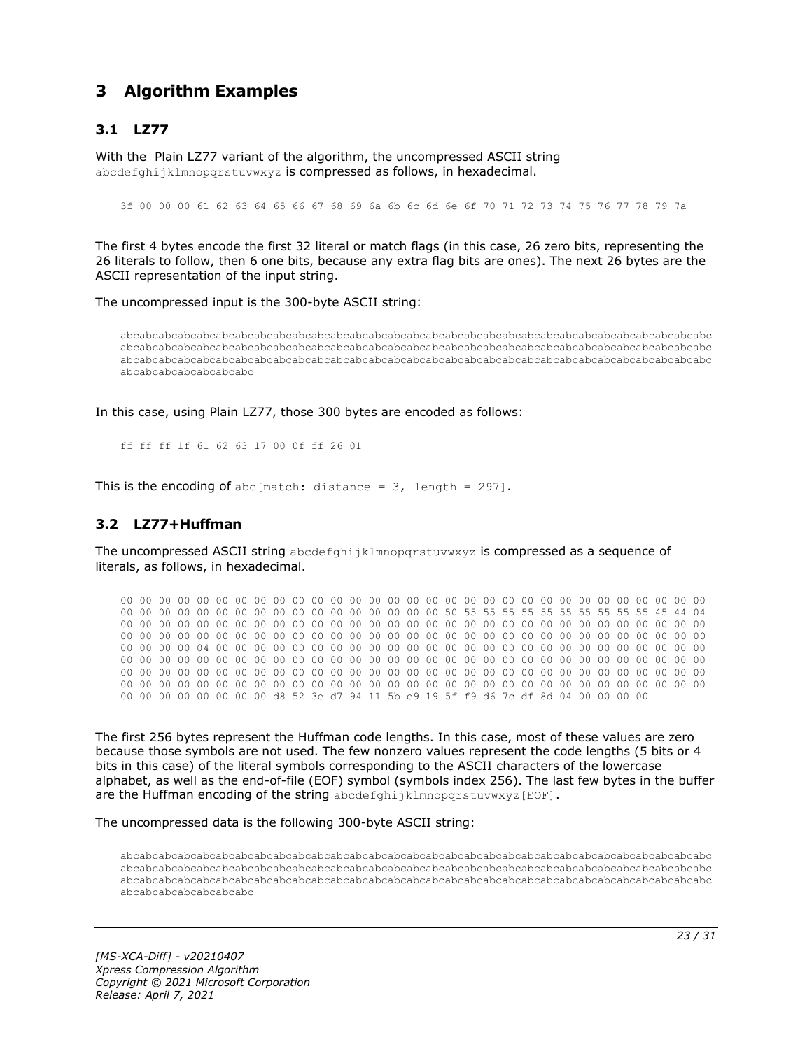## <span id="page-22-0"></span>**3 Algorithm Examples**

### <span id="page-22-1"></span>**3.1 LZ77**

With the Plain LZ77 variant of the algorithm, the uncompressed ASCII string abcdefghijklmnopgrstuvwxyz is compressed as follows, in hexadecimal.

3f 00 00 00 61 62 63 64 65 66 67 68 69 6a 6b 6c 6d 6e 6f 70 71 72 73 74 75 76 77 78 79 7a

The first 4 bytes encode the first 32 literal or match flags (in this case, 26 zero bits, representing the 26 literals to follow, then 6 one bits, because any extra flag bits are ones). The next 26 bytes are the ASCII representation of the input string.

The uncompressed input is the 300-byte ASCII string:

abcabcabcabcabcabcabcabcabcabcabcabcabcabcabcabcabcabcabcabcabcabcabcabcabcabcabcabcabcabcabc abcabcabcabcabcabcabcabcabcabcabcabcabcabcabcabcabcabcabcabcabcabcabcabcabcabcabcabcabcabcabc abcabcabcabcabcabcabcabcabcabcabcabcabcabcabcabcabcabcabcabcabcabcabcabcabcabcabcabcabcabcabc abcabcabcabcabcabcabc

In this case, using Plain LZ77, those 300 bytes are encoded as follows:

ff ff ff 1f 61 62 63 17 00 0f ff 26 01

This is the encoding of abc[match: distance =  $3$ , length = 297].

#### <span id="page-22-2"></span>**3.2 LZ77+Huffman**

The uncompressed ASCII string abcdefghijklmnopqrstuvwxyz is compressed as a sequence of literals, as follows, in hexadecimal.

00 00 00 00 00 00 00 00 00 00 00 00 00 00 00 00 00 00 00 00 00 00 00 00 00 00 00 00 00 00 00 00 00 00 00 00 00 00 00 00 00 00 00 00 00 00 00 00 50 55 55 55 55 55 55 55 55 55 55 45 44 04 00 00 00 00 00 00 00 00 00 00 00 00 00 00 00 00 00 00 00 00 00 00 00 00 00 00 00 00 00 00 00 00 00 00 00 00 00 00 00 00 00 00 00 00 00 00 00 00 00 00 00 00 00 00 00 00 00 00 00 00 00 00 00 00 00 00 04 00 00 00 00 00 00 00 00 00 00 00 00 00 00 00 00 00 00 00 00 00 00 00 00 00 00 00 00 00 00 00 00 00 00 00 00 00 00 00 00 00 00 00 00 00 00 00 00 00 00 00 00 00 00 00 00 00 00 00 00 00 00 00 00 00 00 00 00 00 00 00 00 00 00 00 00 00 00 00 00 00 00 00 00 00 00 00 00 00 00 00 00 00 00 00 00 00 00 00 00 00 00 00 00 00 00 00 00 00 00 00 00 00 00 00 00 00 00 00 00 00 00 00 00 00 00 00 d8 52 3e d7 94 11 5b e9 19 5f f9 d6 7c df 8d 04 00 00 00 00

The first 256 bytes represent the Huffman code lengths. In this case, most of these values are zero because those symbols are not used. The few nonzero values represent the code lengths (5 bits or 4 bits in this case) of the literal symbols corresponding to the ASCII characters of the lowercase alphabet, as well as the end-of-file (EOF) symbol (symbols index 256). The last few bytes in the buffer are the Huffman encoding of the string abcdefghijklmnopqrstuvwxyz[EOF].

The uncompressed data is the following 300-byte ASCII string:

abcabcabcabcabcabcabcabcabcabcabcabcabcabcabcabcabcabcabcabcabcabcabcabcabcabcabcabcabcabcabc abcabcabcabcabcabcabcabcabcabcabcabcabcabcabcabcabcabcabcabcabcabcabcabcabcabcabcabcabcabcabc abcabcabcabcabcabcabcabcabcabcabcabcabcabcabcabcabcabcabcabcabcabcabcabcabcabcabcabcabcabcabc abcabcabcabcabcabcabc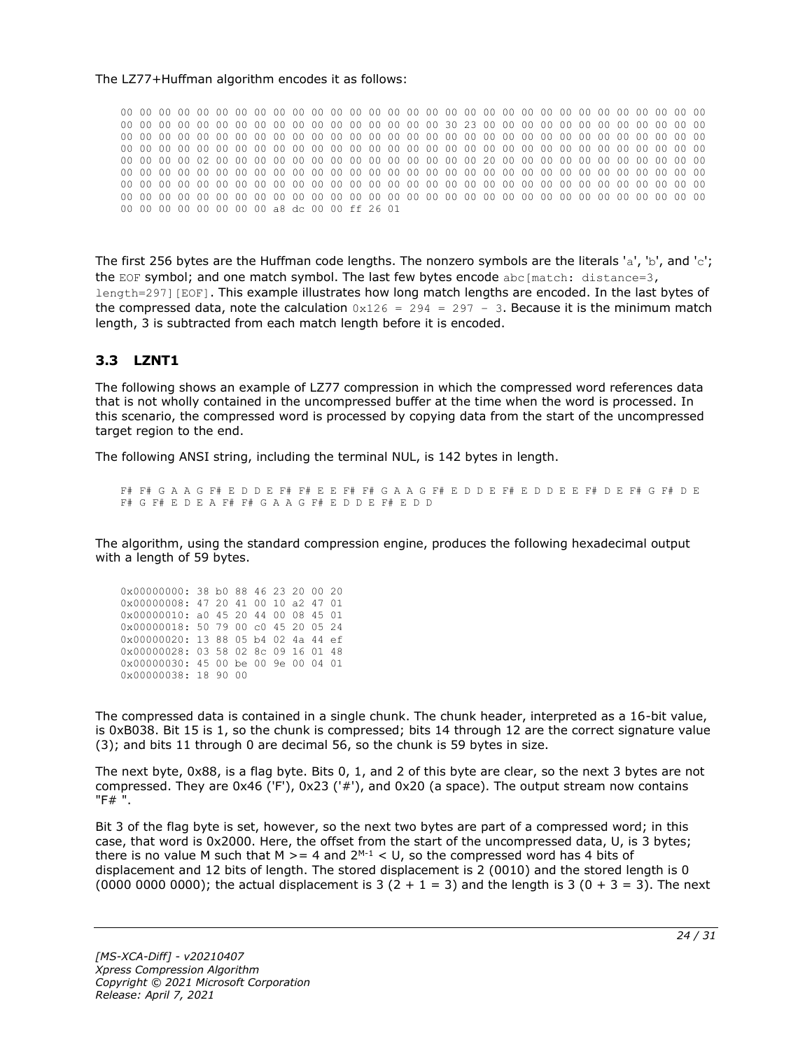#### The LZ77+Huffman algorithm encodes it as follows:

00 00 00 00 00 00 00 00 00 00 00 00 00 00 00 00 00 00 00 00 00 00 00 00 00 00 00 00 00 00 00 00 00 00 00 00 00 00 00 00 00 00 00 00 00 00 00 00 30 23 00 00 00 00 00 00 00 00 00 00 00 00 00 00 00 00 00 00 00 00 00 00 00 00 00 00 00 00 00 00 00 00 00 00 00 00 00 00 00 00 00 00 00 00 00 00 00 00 00 00 00 00 00 00 00 00 00 00 00 00 00 00 00 00 00 00 00 00 00 00 00 00 00 00 00 00 00 00 02 00 00 00 00 00 00 00 00 00 00 00 00 00 00 20 00 00 00 00 00 00 00 00 00 00 00 00 00 00 00 00 00 00 00 00 00 00 00 00 00 00 00 00 00 00 00 00 00 00 00 00 00 00 00 00 00 00 00 00 00 00 00 00 00 00 00 00 00 00 00 00 00 00 00 00 00 00 00 00 00 00 00 00 00 00 00 00 00 00 00 00 00 00 00 00 00 00 00 00 00 00 00 00 00 00 00 00 00 00 00 00 00 00 00 00 00 00 00 00 00 00 00 00 00 00 00 00 a8 dc 00 00 ff 26 01

The first 256 bytes are the Huffman code lengths. The nonzero symbols are the literals 'a', 'b', and 'c'; the EOF symbol; and one match symbol. The last few bytes encode  $abc[match: distance=3,$ length=297][EOF]. This example illustrates how long match lengths are encoded. In the last bytes of the compressed data, note the calculation  $0x126 = 294 = 297 - 3$ . Because it is the minimum match length, 3 is subtracted from each match length before it is encoded.

#### <span id="page-23-0"></span>**3.3 LZNT1**

The following shows an example of LZ77 compression in which the compressed word references data that is not wholly contained in the uncompressed buffer at the time when the word is processed. In this scenario, the compressed word is processed by copying data from the start of the uncompressed target region to the end.

The following ANSI string, including the terminal NUL, is 142 bytes in length.

F# F# G A A G F# E D D E F# F# E E F# F# G A A G F# E D D E F# E D D E E F# D E F# G F# D E F# G F# E D E A F# F# G A A G F# E D D E F# E D D

The algorithm, using the standard compression engine, produces the following hexadecimal output with a length of 59 bytes.

| 0x00000000: 38 b0 88 46 23 20 00 20 |  |  |  |  |
|-------------------------------------|--|--|--|--|
| 0x00000008: 47 20 41 00 10 a2 47 01 |  |  |  |  |
| 0x00000010: a0 45 20 44 00 08 45 01 |  |  |  |  |
| 0x00000018: 50 79 00 c0 45 20 05 24 |  |  |  |  |
|                                     |  |  |  |  |
| 0x00000020: 13 88 05 b4 02 4a 44 ef |  |  |  |  |
| 0x00000028: 03 58 02 8c 09 16 01 48 |  |  |  |  |
| 0x00000030: 45 00 be 00 9e 00 04 01 |  |  |  |  |

The compressed data is contained in a single chunk. The chunk header, interpreted as a 16-bit value, is 0xB038. Bit 15 is 1, so the chunk is compressed; bits 14 through 12 are the correct signature value (3); and bits 11 through 0 are decimal 56, so the chunk is 59 bytes in size.

The next byte, 0x88, is a flag byte. Bits 0, 1, and 2 of this byte are clear, so the next 3 bytes are not compressed. They are 0x46 ('F'), 0x23 ('#'), and 0x20 (a space). The output stream now contains "F# ".

Bit 3 of the flag byte is set, however, so the next two bytes are part of a compressed word; in this case, that word is 0x2000. Here, the offset from the start of the uncompressed data, U, is 3 bytes; there is no value M such that M  $>= 4$  and  $2^{M-1} < U$ , so the compressed word has 4 bits of displacement and 12 bits of length. The stored displacement is 2 (0010) and the stored length is 0 (0000 0000 0000); the actual displacement is 3 (2 + 1 = 3) and the length is 3 (0 + 3 = 3). The next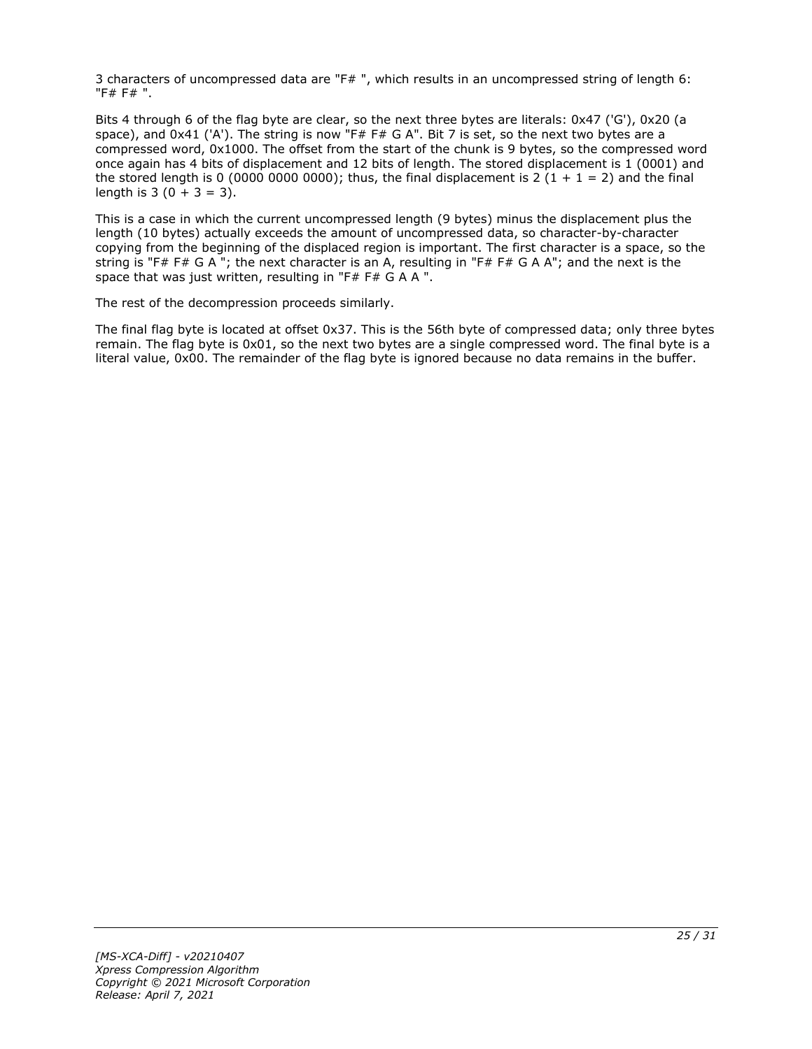3 characters of uncompressed data are "F# ", which results in an uncompressed string of length 6: "F# F# ".

Bits 4 through 6 of the flag byte are clear, so the next three bytes are literals: 0x47 ('G'), 0x20 (a space), and 0x41 ('A'). The string is now "F# F# G A". Bit 7 is set, so the next two bytes are a compressed word, 0x1000. The offset from the start of the chunk is 9 bytes, so the compressed word once again has 4 bits of displacement and 12 bits of length. The stored displacement is 1 (0001) and the stored length is 0 (0000 0000 0000); thus, the final displacement is 2 (1 + 1 = 2) and the final length is  $3(0 + 3 = 3)$ .

This is a case in which the current uncompressed length (9 bytes) minus the displacement plus the length (10 bytes) actually exceeds the amount of uncompressed data, so character-by-character copying from the beginning of the displaced region is important. The first character is a space, so the string is "F# F# G A "; the next character is an A, resulting in "F# F# G A A"; and the next is the space that was just written, resulting in "F# F# G A A ".

The rest of the decompression proceeds similarly.

The final flag byte is located at offset 0x37. This is the 56th byte of compressed data; only three bytes remain. The flag byte is 0x01, so the next two bytes are a single compressed word. The final byte is a literal value, 0x00. The remainder of the flag byte is ignored because no data remains in the buffer.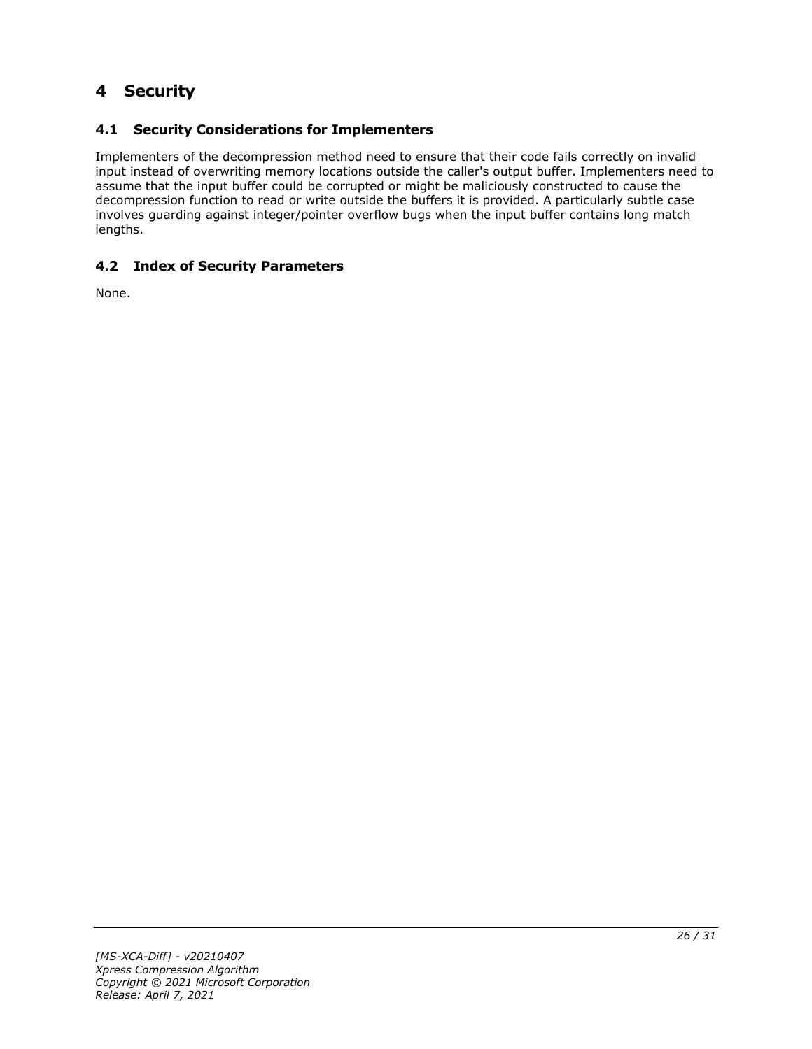# <span id="page-25-0"></span>**4 Security**

### <span id="page-25-1"></span>**4.1 Security Considerations for Implementers**

Implementers of the decompression method need to ensure that their code fails correctly on invalid input instead of overwriting memory locations outside the caller's output buffer. Implementers need to assume that the input buffer could be corrupted or might be maliciously constructed to cause the decompression function to read or write outside the buffers it is provided. A particularly subtle case involves guarding against integer/pointer overflow bugs when the input buffer contains long match lengths.

#### <span id="page-25-2"></span>**4.2 Index of Security Parameters**

None.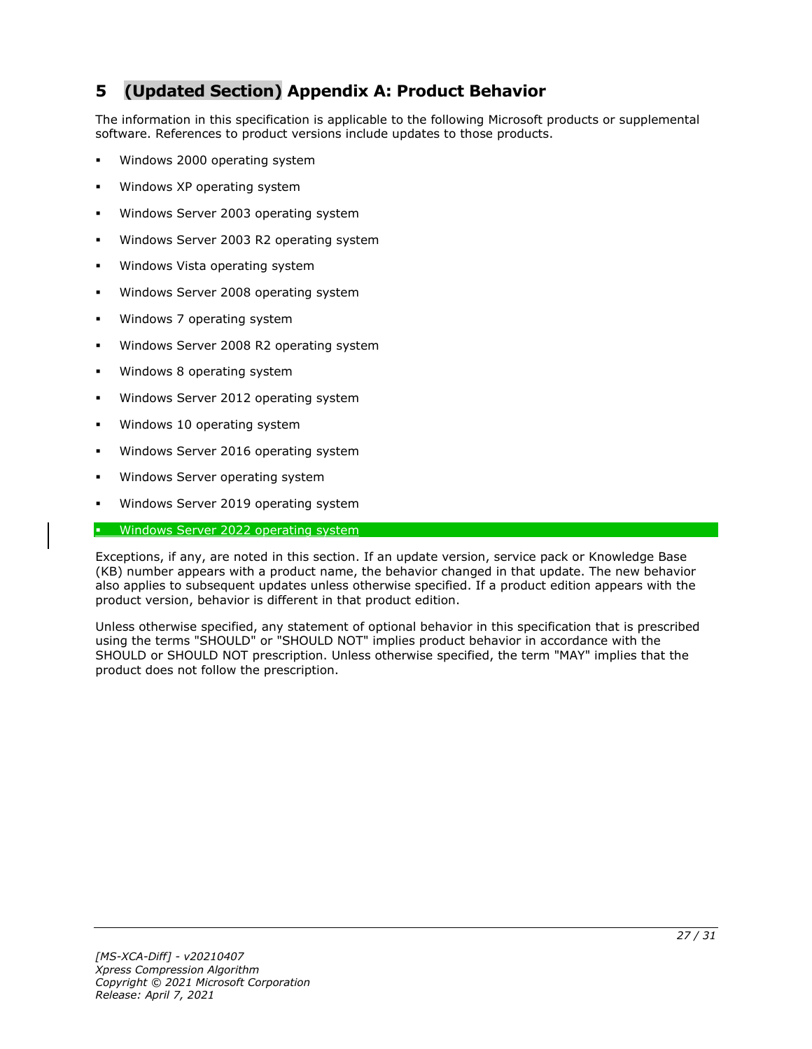# <span id="page-26-0"></span>**5 (Updated Section) Appendix A: Product Behavior**

The information in this specification is applicable to the following Microsoft products or supplemental software. References to product versions include updates to those products.

- Windows 2000 operating system
- Windows XP operating system
- Windows Server 2003 operating system
- Windows Server 2003 R2 operating system
- Windows Vista operating system
- Windows Server 2008 operating system
- Windows 7 operating system
- Windows Server 2008 R2 operating system
- Windows 8 operating system
- Windows Server 2012 operating system
- Windows 10 operating system
- Windows Server 2016 operating system
- Windows Server operating system
- Windows Server 2019 operating system

#### Windows Server 2022 operating system

Exceptions, if any, are noted in this section. If an update version, service pack or Knowledge Base (KB) number appears with a product name, the behavior changed in that update. The new behavior also applies to subsequent updates unless otherwise specified. If a product edition appears with the product version, behavior is different in that product edition.

Unless otherwise specified, any statement of optional behavior in this specification that is prescribed using the terms "SHOULD" or "SHOULD NOT" implies product behavior in accordance with the SHOULD or SHOULD NOT prescription. Unless otherwise specified, the term "MAY" implies that the product does not follow the prescription.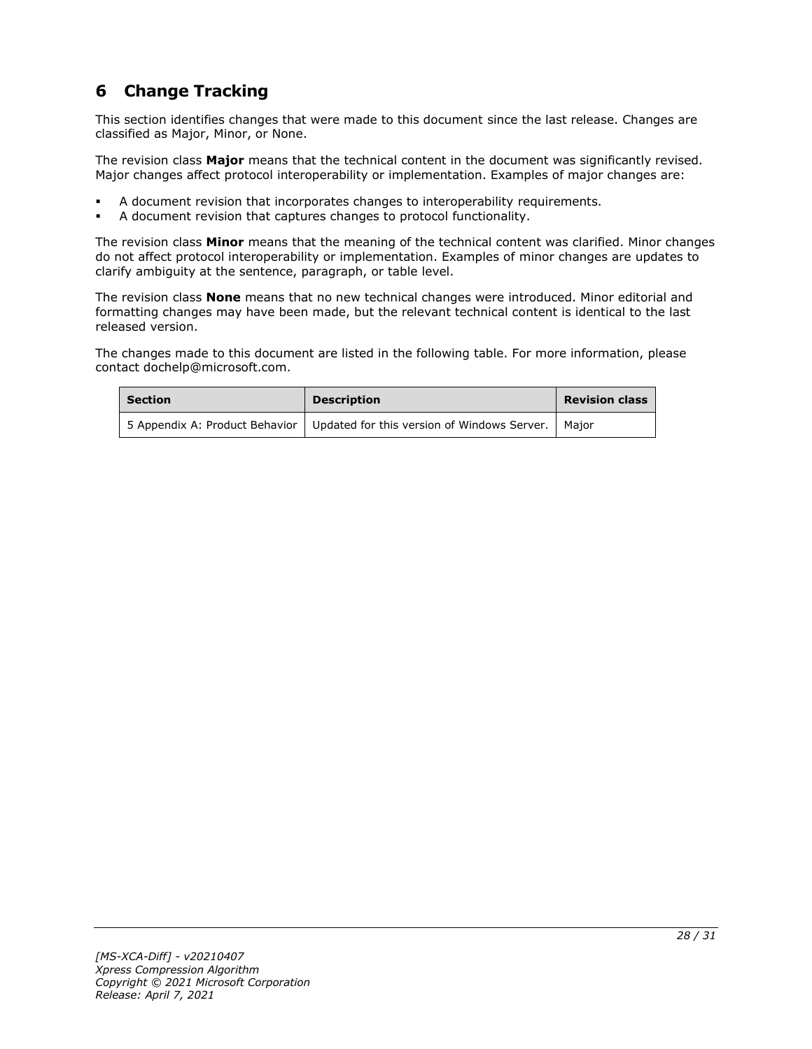# <span id="page-27-0"></span>**6 Change Tracking**

This section identifies changes that were made to this document since the last release. Changes are classified as Major, Minor, or None.

The revision class **Major** means that the technical content in the document was significantly revised. Major changes affect protocol interoperability or implementation. Examples of major changes are:

- A document revision that incorporates changes to interoperability requirements.
- A document revision that captures changes to protocol functionality.

The revision class **Minor** means that the meaning of the technical content was clarified. Minor changes do not affect protocol interoperability or implementation. Examples of minor changes are updates to clarify ambiguity at the sentence, paragraph, or table level.

The revision class **None** means that no new technical changes were introduced. Minor editorial and formatting changes may have been made, but the relevant technical content is identical to the last released version.

The changes made to this document are listed in the following table. For more information, please contact dochelp@microsoft.com.

| <b>Section</b> | <b>Description</b>                                                                   | <b>Revision class</b> |
|----------------|--------------------------------------------------------------------------------------|-----------------------|
|                | 5 Appendix A: Product Behavior   Updated for this version of Windows Server.   Major |                       |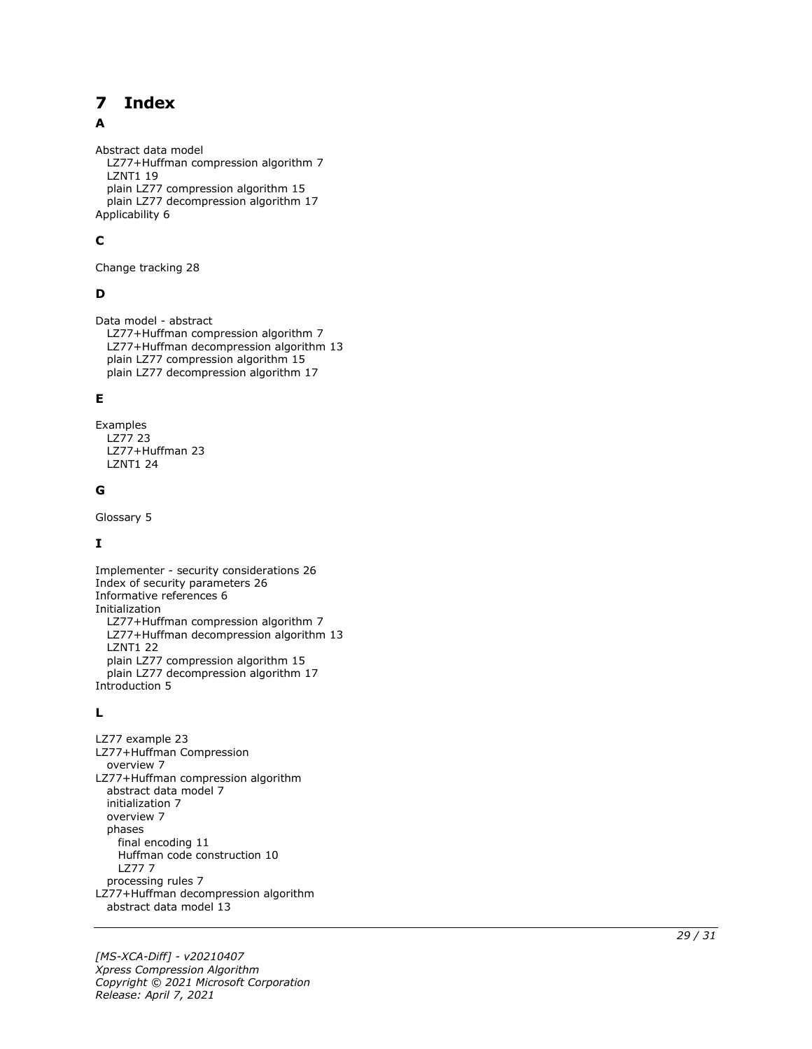#### <span id="page-28-0"></span>**Index**  $\overline{\mathbf{z}}$

#### A

Abstract data model LZ77+Huffman compression algorithm 7 LZNT1 19 plain LZ77 compression algorithm 15 plain LZ77 decompression algorithm 17 Applicability 6

#### **C**

Change tracking 28

#### **D**

Data model - abstract LZ77+Huffman compression algorithm 7 LZ77+Huffman decompression algorithm 13 plain LZ77 compression algorithm 15 plain LZ77 decompression algorithm 17

#### **E**

Examples LZ77 23 LZ77+Huffman 23 LZNT1 24

#### **G**

Glossary 5

#### **I**

Implementer - security considerations 26 Index of security parameters 26 Informative references 6 Initialization LZ77+Huffman compression algorithm 7 LZ77+Huffman decompression algorithm 13 LZNT1 22 plain LZ77 compression algorithm 15 plain LZ77 decompression algorithm 17 Introduction 5

#### **L**

**7 Index**<br>
Abstract data model<br>
LZ77+Huffman com<br>
LZ77+Huffman com<br>
plain LZ77 compress<br>
plain LZ77 decompre<br>
Applicability 6<br> **C**<br>
Change tracking 28<br> **D**<br>
Data model - abstract<br>
LZ77+Huffman decompress<br>
plain LZ77 comp LZ77 example 23 LZ77+Huffman Compression overview 7 LZ77+Huffman compression algorithm abstract data model 7 initialization 7 overview 7 phases final encoding 11 Huffman code construction 10 LZ77 7 processing rules 7 LZ77+Huffman decompression algorithm abstract data model 13

*[MS -XCA -Diff] - v20210407 Xpress Compression Algorithm Copyright © 2021 Microsoft Corporation* Release: April 7, 2021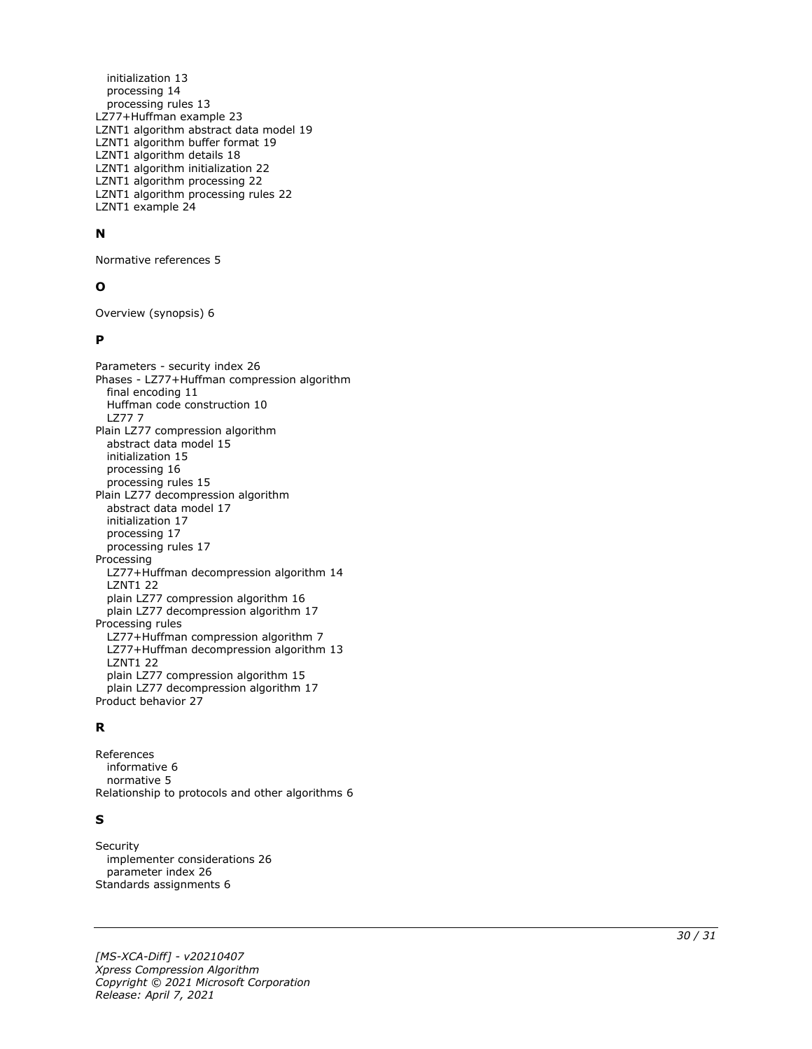initialization 13 processing 14 processing rules 13 LZ77+Huffman example 23 LZNT1 algorithm abstract data model 19 LZNT1 algorithm buffer format 19 LZNT1 algorithm details 18 LZNT1 algorithm initialization 22 LZNT1 algorithm processing 22 LZNT1 algorithm processing rules 22 LZNT1 example 24

#### **N**

Normative references 5

#### **O**

Overview (synopsis) 6

#### **P**

Parameters - security index 26 Phases - LZ77+Huffman compression algorithm final encoding 11 Huffman code construction 10 LZ77 7 Plain LZ77 compression algorithm abstract data model 15 initialization 15 processing 16 processing rules 15 Plain LZ77 decompression algorithm abstract data model 17 initialization 17 processing 17 processing rules 17 Processing LZ77+Huffman decompression algorithm 14 LZNT1 22 plain LZ77 compression algorithm 16 plain LZ77 decompression algorithm 17 Processing rules LZ77+Huffman compression algorithm 7 LZ77+Huffman decompression algorithm 13 LZNT1 22 plain LZ77 compression algorithm 15 plain LZ77 decompression algorithm 17 Product behavior 27

#### **R**

References informative 6 normative 5 Relationship to protocols and other algorithms 6

#### **S**

**Security**  implementer considerations 26 parameter index 26 Standards assignments 6

*[MS -XCA -Diff] - v20210407 Xpress Compression Algorithm Copyright © 2021 Microsoft Corporation Release: April 7, 2021*